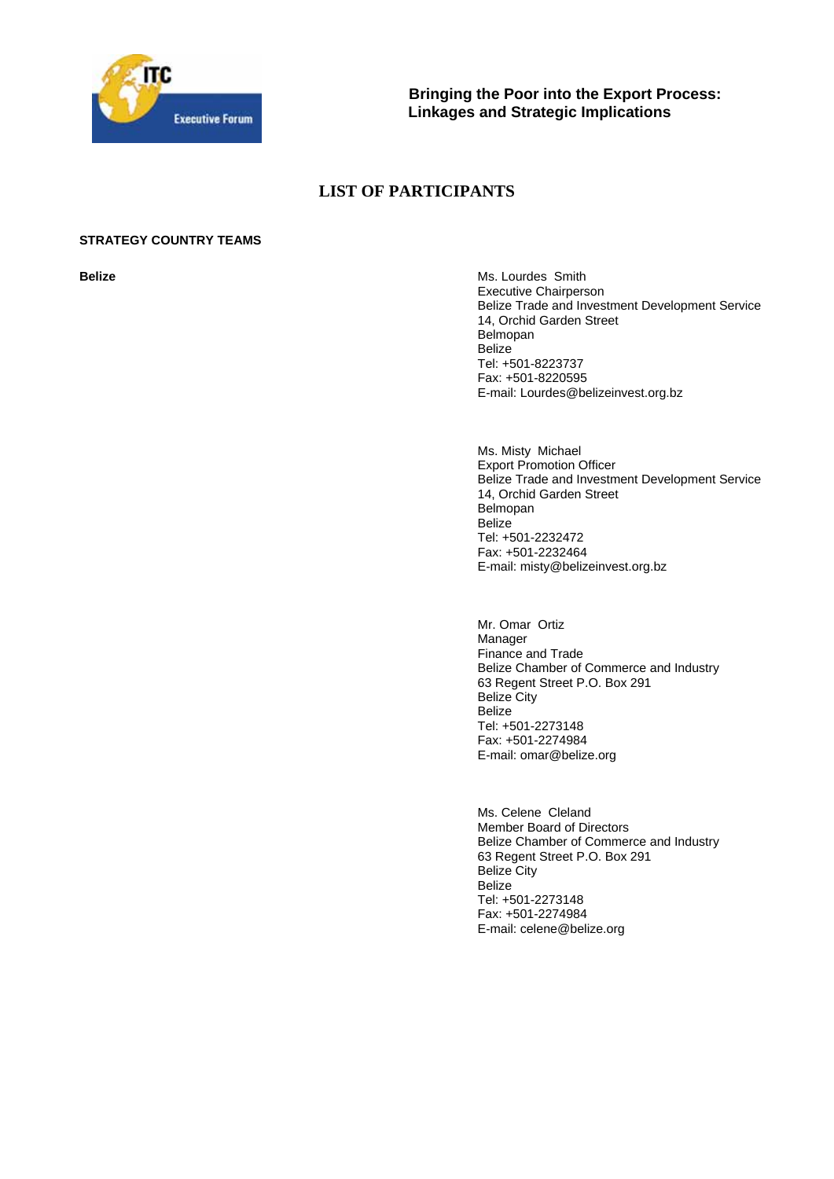

**Bringing the Poor into the Export Process: Linkages and Strategic Implications**

# **LIST OF PARTICIPANTS**

# **STRATEGY COUNTRY TEAMS**

**Belize Belize Ms. Lourdes Smith** Executive Chairperson Belize Trade and Investment Development Service 14, Orchid Garden Street Belmopan Belize Tel: +501-8223737 Fax: +501-8220595 E-mail: Lourdes@belizeinvest.org.bz

> Ms. Misty Michael Export Promotion Officer Belize Trade and Investment Development Service 14, Orchid Garden Street Belmopan **Belize** Tel: +501-2232472 Fax: +501-2232464 E-mail: misty@belizeinvest.org.bz

Mr. Omar Ortiz Manager Finance and Trade Belize Chamber of Commerce and Industry 63 Regent Street P.O. Box 291 Belize City Belize Tel: +501-2273148 Fax: +501-2274984 E-mail: omar@belize.org

Ms. Celene Cleland Member Board of Directors Belize Chamber of Commerce and Industry 63 Regent Street P.O. Box 291 Belize City Belize Tel: +501-2273148 Fax: +501-2274984 E-mail: celene@belize.org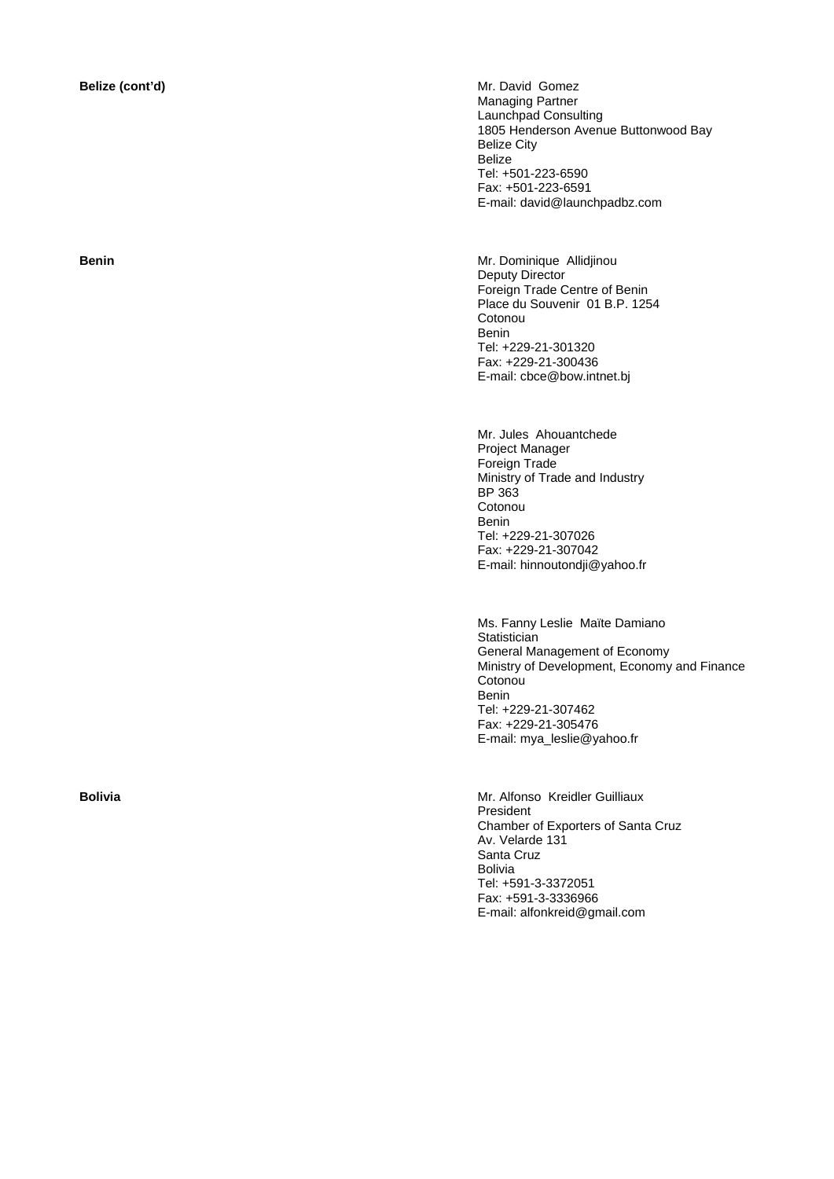**Belize (cont'd) Mr. David Gomez** Managing Partner Launchpad Consulting 1805 Henderson Avenue Buttonwood Bay Belize City Belize Tel: +501-223-6590 Fax: +501-223-6591 E-mail: david@launchpadbz.com

**Benin Benin Mr. Dominique Allidjinou** Deputy Director Foreign Trade Centre of Benin Place du Souvenir 01 B.P. 1254 Cotonou Benin Tel: +229-21-301320 Fax: +229-21-300436 E-mail: cbce@bow.intnet.bj

> Mr. Jules Ahouantchede Project Manager Foreign Trade Ministry of Trade and Industry BP 363 **Cotonou** Benin Tel: +229-21-307026 Fax: +229-21-307042 E-mail: hinnoutondji@yahoo.fr

Ms. Fanny Leslie Maïte Damiano **Statistician** General Management of Economy Ministry of Development, Economy and Finance **Cotonou** Benin Tel: +229-21-307462 Fax: +229-21-305476 E-mail: mya\_leslie@yahoo.fr

**Bolivia Mr. Alfonso Kreidler Guilliaux Mr. Alfonso Kreidler Guilliaux** President Chamber of Exporters of Santa Cruz Av. Velarde 131 Santa Cruz Bolivia Tel: +591-3-3372051 Fax: +591-3-3336966 E-mail: alfonkreid@gmail.com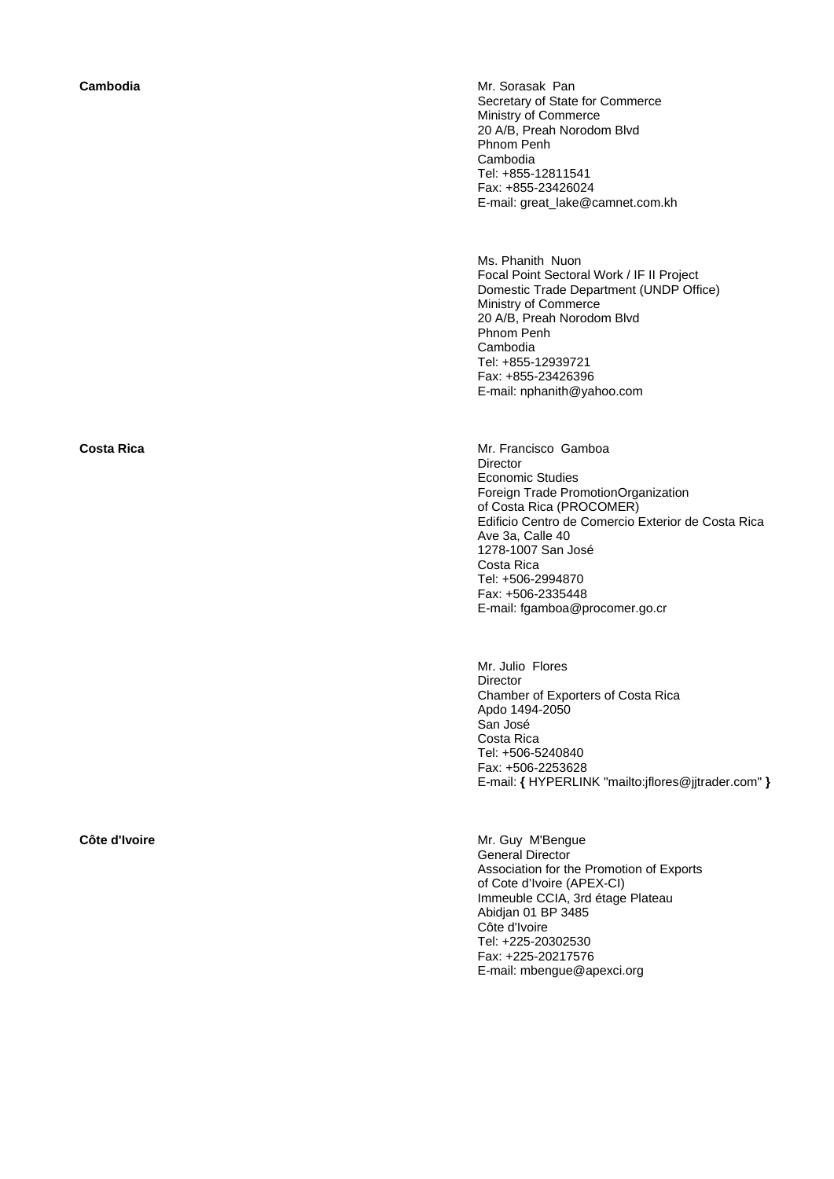**Cambodia Cambodia Mr. Sorasak Pan** Secretary of State for Commerce Ministry of Commerce 20 A/B, Preah Norodom Blvd Phnom Penh Cambodia Tel: +855-12811541 Fax: +855-23426024 E-mail: great\_lake@camnet.com.kh

> Ms. Phanith Nuon Focal Point Sectoral Work / IF II Project Domestic Trade Department (UNDP Office) Ministry of Commerce 20 A/B, Preah Norodom Blvd Phnom Penh Cambodia Tel: +855-12939721 Fax: +855-23426396 E-mail: nphanith@yahoo.com

**Costa Rica** Mr. Francisco Gamboa **Director** Economic Studies Foreign Trade PromotionOrganization of Costa Rica (PROCOMER) Edificio Centro de Comercio Exterior de Costa Rica Ave 3a, Calle 40 1278-1007 San José Costa Rica Tel: +506-2994870 Fax: +506-2335448 E-mail: fgamboa@procomer.go.cr

> Mr. Julio Flores **Director** Chamber of Exporters of Costa Rica Apdo 1494-2050 San José Costa Rica Tel: +506-5240840 Fax: +506-2253628 E-mail: **{** HYPERLINK "mailto:jflores@jjtrader.com" **}**

**Côte d'Ivoire Mr. Guy M'Bengue** General Director Association for the Promotion of Exports of Cote d'Ivoire (APEX-CI) Immeuble CCIA, 3rd étage Plateau Abidjan 01 BP 3485 Côte d'Ivoire Tel: +225-20302530 Fax: +225-20217576 E-mail: mbengue@apexci.org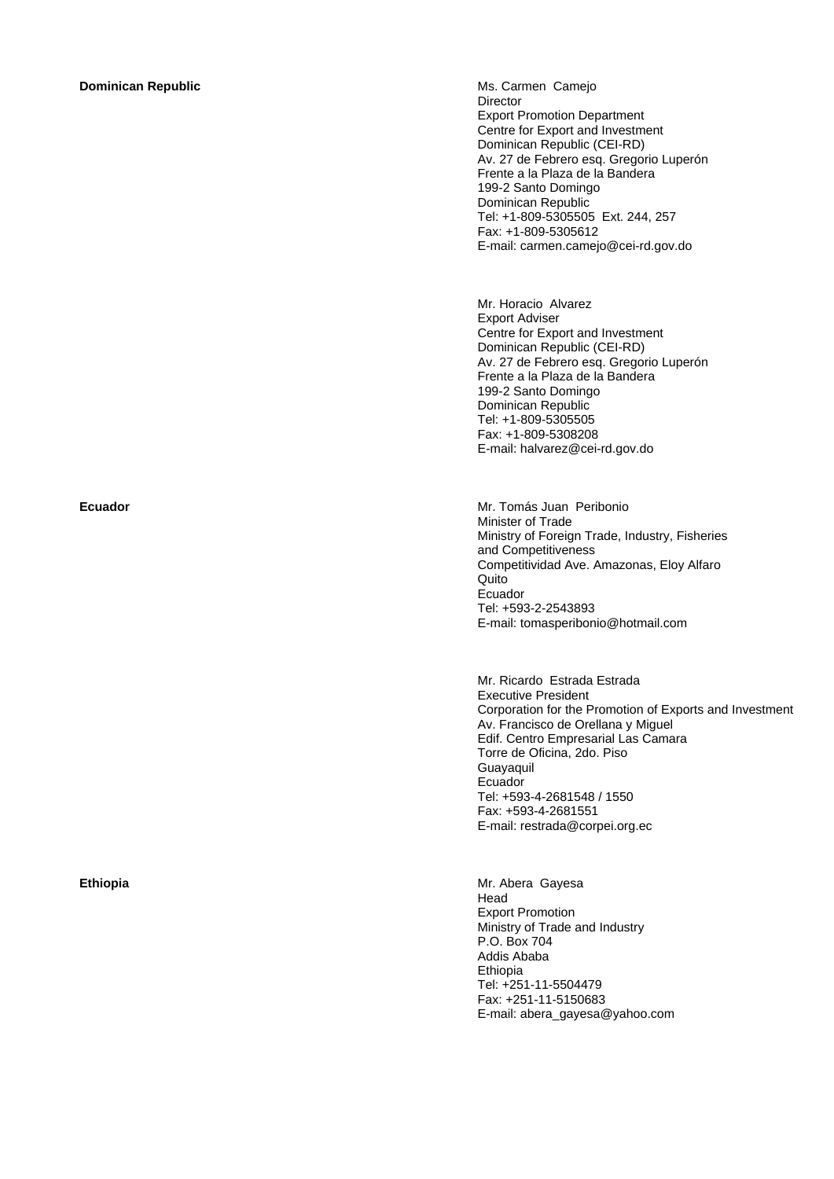### **Dominican Republic Ms. Carmen Camejo Ms. Carmen Camejo**

**Director** Export Promotion Department Centre for Export and Investment Dominican Republic (CEI-RD) Av. 27 de Febrero esq. Gregorio Luperón Frente a la Plaza de la Bandera 199-2 Santo Domingo Dominican Republic Tel: +1-809-5305505 Ext. 244, 257 Fax: +1-809-5305612 E-mail: carmen.camejo@cei-rd.gov.do

Mr. Horacio Alvarez Export Adviser Centre for Export and Investment Dominican Republic (CEI-RD) Av. 27 de Febrero esq. Gregorio Luperón Frente a la Plaza de la Bandera 199-2 Santo Domingo Dominican Republic Tel: +1-809-5305505 Fax: +1-809-5308208 E-mail: halvarez@cei-rd.gov.do

**Ecuador** Mr. Tomás Juan Peribonio Minister of Trade Ministry of Foreign Trade, Industry, Fisheries and Competitiveness Competitividad Ave. Amazonas, Eloy Alfaro Quito Ecuador Tel: +593-2-2543893 E-mail: tomasperibonio@hotmail.com

> Mr. Ricardo Estrada Estrada Executive President Corporation for the Promotion of Exports and Investment Av. Francisco de Orellana y Miguel Edif. Centro Empresarial Las Camara Torre de Oficina, 2do. Piso Guayaquil Ecuador Tel: +593-4-2681548 / 1550 Fax: +593-4-2681551 E-mail: restrada@corpei.org.ec

**Ethiopia Ethiopia Mr. Abera Gayesa Mr. Abera Gayesa** Head Export Promotion Ministry of Trade and Industry P.O. Box 704 Addis Ababa Ethiopia Tel: +251-11-5504479 Fax: +251-11-5150683 E-mail: abera\_gayesa@yahoo.com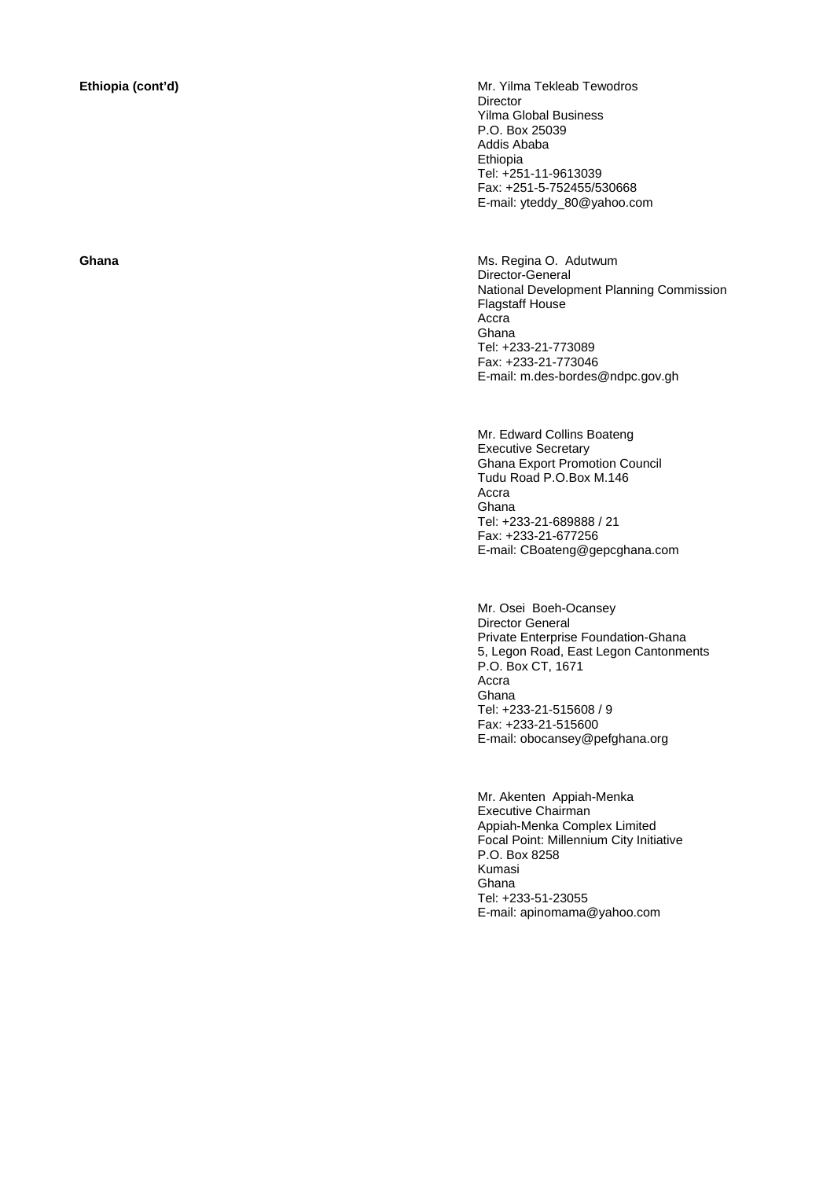**Ethiopia (cont'd) Ethiopia (cont'd) Mr. Yilma Tekleab Tewodros** Director Yilma Global Business P.O. Box 25039 Addis Ababa Ethiopia Tel: +251-11-9613039 Fax: +251-5-752455/530668 E-mail: yteddy\_80@yahoo.com

**Ghana Ghana Ms. Regina O. Adutwum** Director-General National Development Planning Commission Flagstaff House Accra Ghana Tel: +233-21-773089 Fax: +233-21-773046 E-mail: m.des-bordes@ndpc.gov.gh

> Mr. Edward Collins Boateng Executive Secretary Ghana Export Promotion Council Tudu Road P.O.Box M.146 Accra Ghana Tel: +233-21-689888 / 21 Fax: +233-21-677256 E-mail: CBoateng@gepcghana.com

Mr. Osei Boeh-Ocansey Director General Private Enterprise Foundation-Ghana 5, Legon Road, East Legon Cantonments P.O. Box CT, 1671 Accra Ghana Tel: +233-21-515608 / 9 Fax: +233-21-515600 E-mail: obocansey@pefghana.org

Mr. Akenten Appiah-Menka Executive Chairman Appiah-Menka Complex Limited Focal Point: Millennium City Initiative P.O. Box 8258 Kumasi Ghana Tel: +233-51-23055 E-mail: apinomama@yahoo.com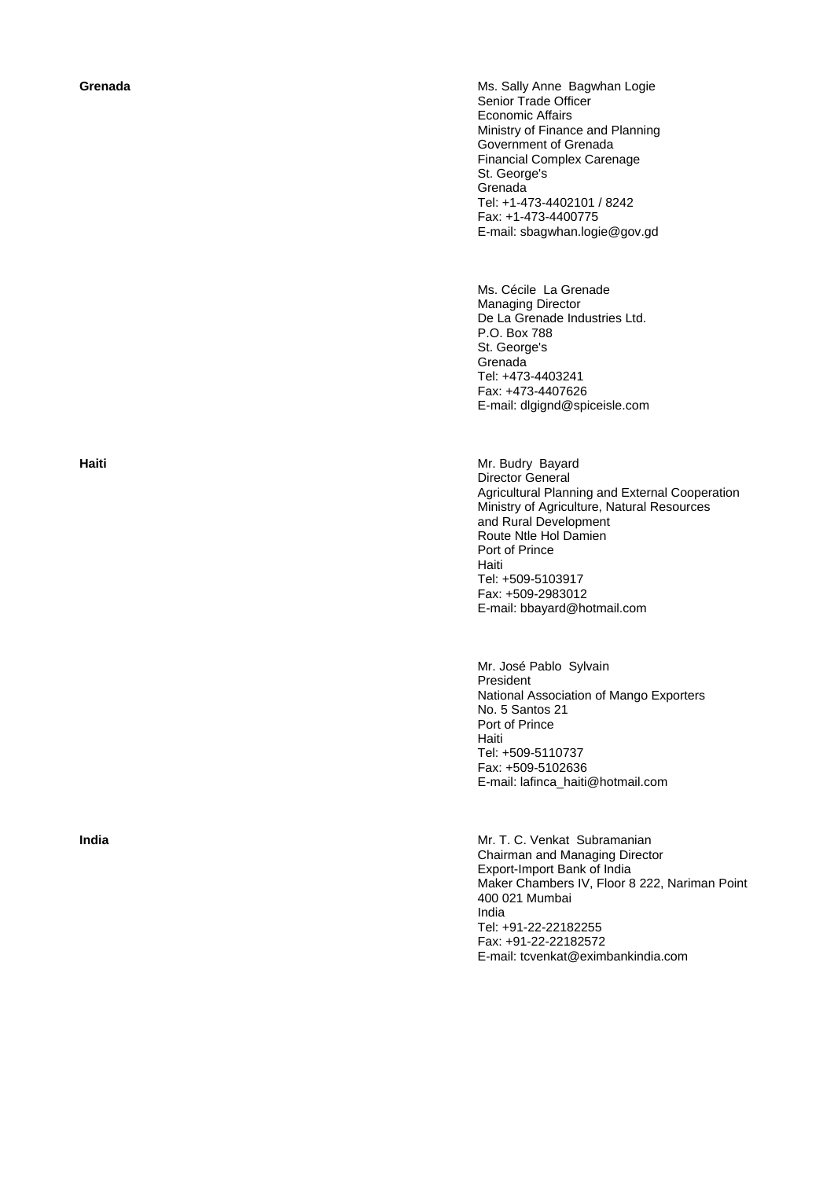**Grenada Construction Construction Construction Construction Construction Ms. Sally Anne Bagwhan Logie** Senior Trade Officer Economic Affairs Ministry of Finance and Planning Government of Grenada Financial Complex Carenage St. George's Grenada Tel: +1-473-4402101 / 8242 Fax: +1-473-4400775 E-mail: sbagwhan.logie@gov.gd

> Ms. Cécile La Grenade Managing Director De La Grenade Industries Ltd. P.O. Box 788 St. George's **Grenada** Tel: +473-4403241 Fax: +473-4407626 E-mail: dlgignd@spiceisle.com

**Haiti Mr. Budry Bayard Mr. Budry Bayard** Director General Agricultural Planning and External Cooperation Ministry of Agriculture, Natural Resources and Rural Development Route Ntle Hol Damien Port of Prince Haiti Tel: +509-5103917 Fax: +509-2983012 E-mail: bbayard@hotmail.com

> Mr. José Pablo Sylvain President National Association of Mango Exporters No. 5 Santos 21 Port of Prince Haiti Tel: +509-5110737 Fax: +509-5102636 E-mail: lafinca\_haiti@hotmail.com

**India** Mr. T. C. Venkat Subramanian Chairman and Managing Director Export-Import Bank of India Maker Chambers IV, Floor 8 222, Nariman Point 400 021 Mumbai India Tel: +91-22-22182255 Fax: +91-22-22182572 E-mail: tcvenkat@eximbankindia.com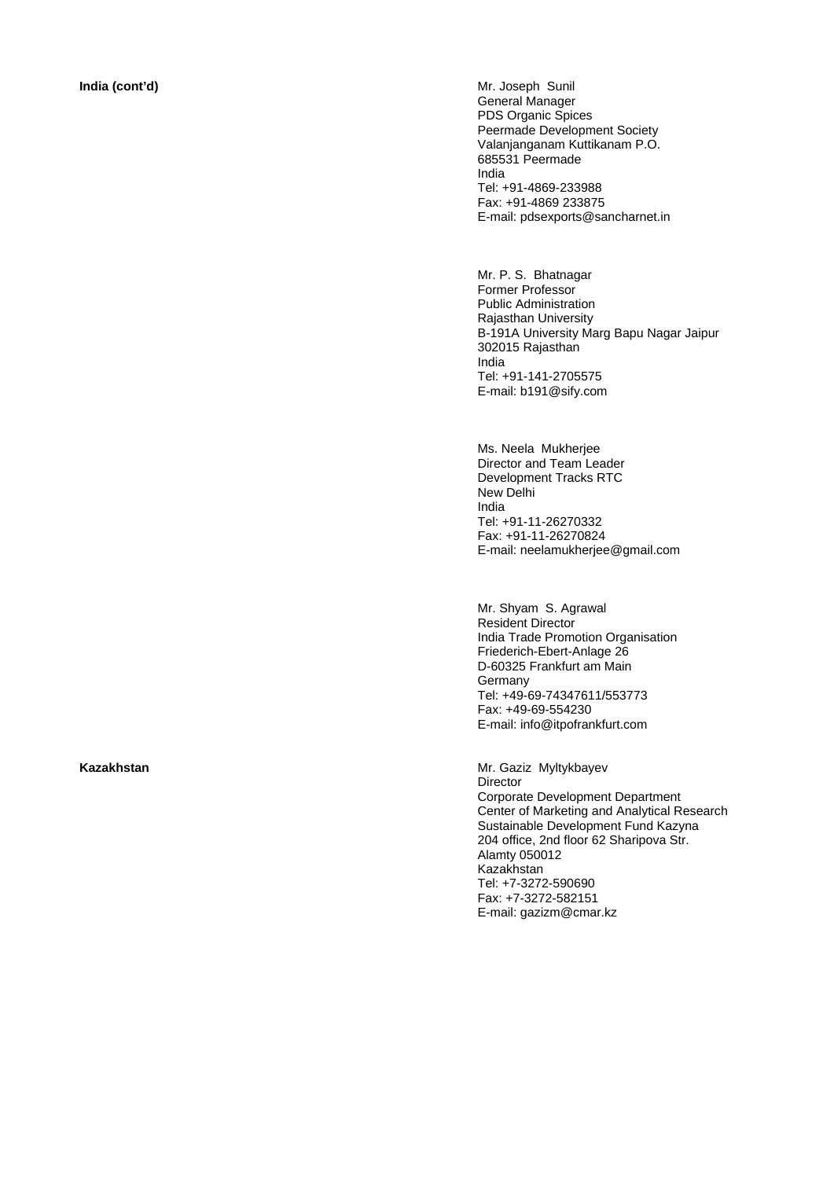**India (cont'd) Mr. Joseph Sunil** General Manager PDS Organic Spices Peermade Development Society Valanjanganam Kuttikanam P.O. 685531 Peermade India Tel: +91-4869-233988 Fax: +91-4869 233875 E-mail: pdsexports@sancharnet.in

> Mr. P. S. Bhatnagar Former Professor Public Administration Rajasthan University B-191A University Marg Bapu Nagar Jaipur 302015 Rajasthan India Tel: +91-141-2705575 E-mail: b191@sify.com

Ms. Neela Mukherjee Director and Team Leader Development Tracks RTC New Delhi India Tel: +91-11-26270332 Fax: +91-11-26270824 E-mail: neelamukherjee@gmail.com

Mr. Shyam S. Agrawal Resident Director India Trade Promotion Organisation Friederich-Ebert-Anlage 26 D-60325 Frankfurt am Main **Germany** Tel: +49-69-74347611/553773 Fax: +49-69-554230 E-mail: info@itpofrankfurt.com

Kazakhstan **Mazakhstan** Mr. Gaziz Myltykbayev **Director** Corporate Development Department Center of Marketing and Analytical Research Sustainable Development Fund Kazyna 204 office, 2nd floor 62 Sharipova Str. Alamty 050012 Kazakhstan Tel: +7-3272-590690 Fax: +7-3272-582151 E-mail: gazizm@cmar.kz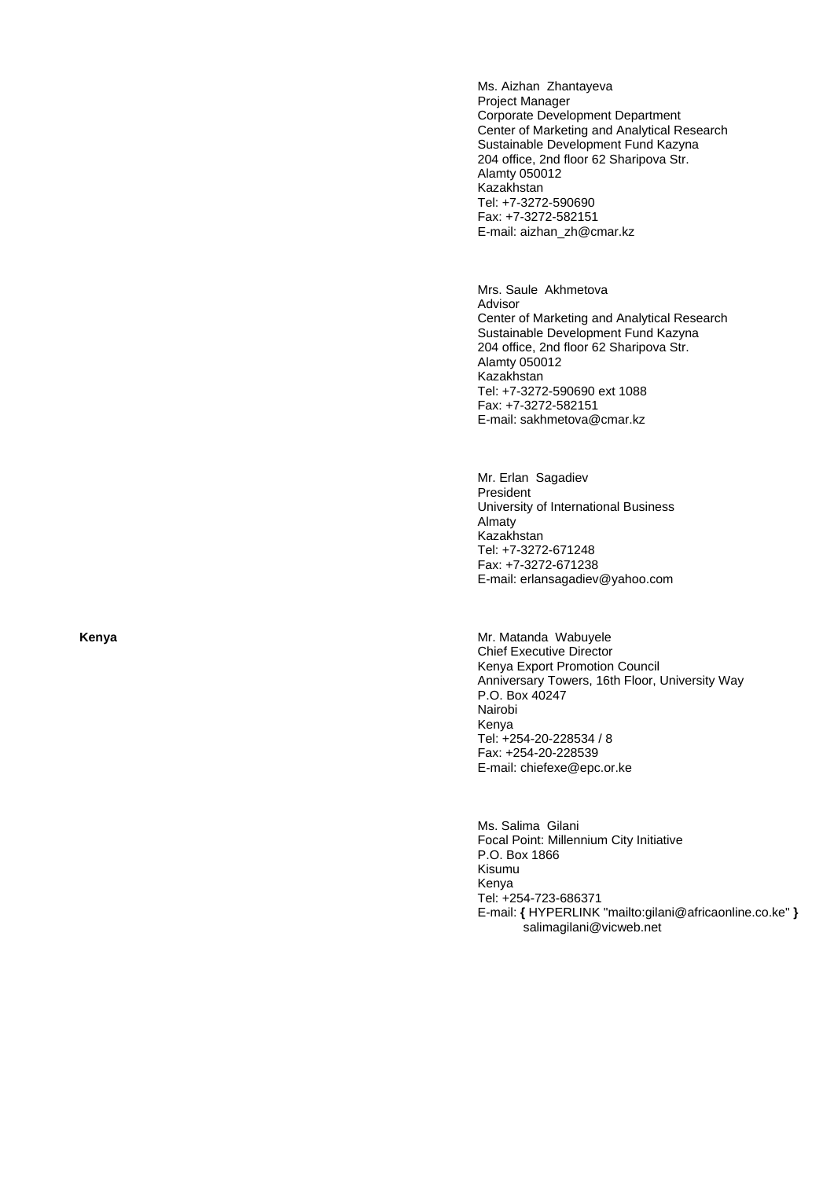Ms. Aizhan Zhantayeva Project Manager Corporate Development Department Center of Marketing and Analytical Research Sustainable Development Fund Kazyna 204 office, 2nd floor 62 Sharipova Str. Alamty 050012 Kazakhstan Tel: +7-3272-590690 Fax: +7-3272-582151 E-mail: aizhan\_zh@cmar.kz

Mrs. Saule Akhmetova Advisor Center of Marketing and Analytical Research Sustainable Development Fund Kazyna 204 office, 2nd floor 62 Sharipova Str. Alamty 050012 Kazakhstan Tel: +7-3272-590690 ext 1088 Fax: +7-3272-582151 E-mail: sakhmetova@cmar.kz

Mr. Erlan Sagadiev President University of International Business Almaty Kazakhstan Tel: +7-3272-671248 Fax: +7-3272-671238 E-mail: erlansagadiev@yahoo.com

**Kenya Kenya Mr. Matanda Wabuyele** Mr. Matanda Wabuyele Chief Executive Director Kenya Export Promotion Council Anniversary Towers, 16th Floor, University Way P.O. Box 40247 Nairobi Kenya Tel: +254-20-228534 / 8 Fax: +254-20-228539 E-mail: chiefexe@epc.or.ke

> Ms. Salima Gilani Focal Point: Millennium City Initiative P.O. Box 1866 Kisumu Kenya Tel: +254-723-686371 E-mail: **{** HYPERLINK "mailto:gilani@africaonline.co.ke" **}** salimagilani@vicweb.net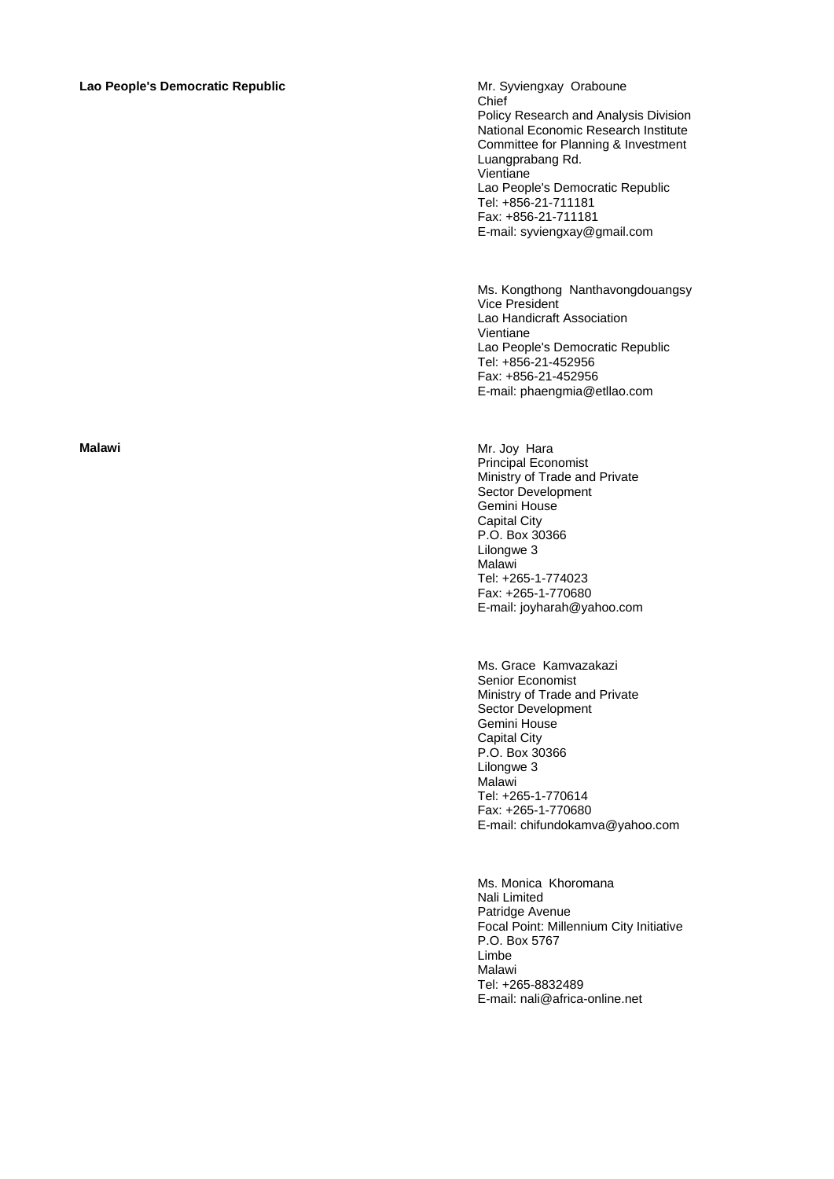### **Lao People's Democratic Republic** Mr. Syviengxay Oraboune

Chief Policy Research and Analysis Division National Economic Research Institute Committee for Planning & Investment Luangprabang Rd. Vientiane Lao People's Democratic Republic Tel: +856-21-711181 Fax: +856-21-711181 E-mail: syviengxay@gmail.com

Ms. Kongthong Nanthavongdouangsy Vice President Lao Handicraft Association Vientiane Lao People's Democratic Republic Tel: +856-21-452956 Fax: +856-21-452956 E-mail: phaengmia@etllao.com

**Malawi** Mr. Joy Hara Principal Economist Ministry of Trade and Private Sector Development Gemini House Capital City P.O. Box 30366 Lilongwe 3 Malawi Tel: +265-1-774023 Fax: +265-1-770680 E-mail: joyharah@yahoo.com

> Ms. Grace Kamvazakazi Senior Economist Ministry of Trade and Private Sector Development Gemini House Capital City P.O. Box 30366 Lilongwe 3 Malawi Tel: +265-1-770614 Fax: +265-1-770680 E-mail: chifundokamva@yahoo.com

Ms. Monica Khoromana Nali Limited Patridge Avenue Focal Point: Millennium City Initiative P.O. Box 5767 Limbe Malawi Tel: +265-8832489 E-mail: nali@africa-online.net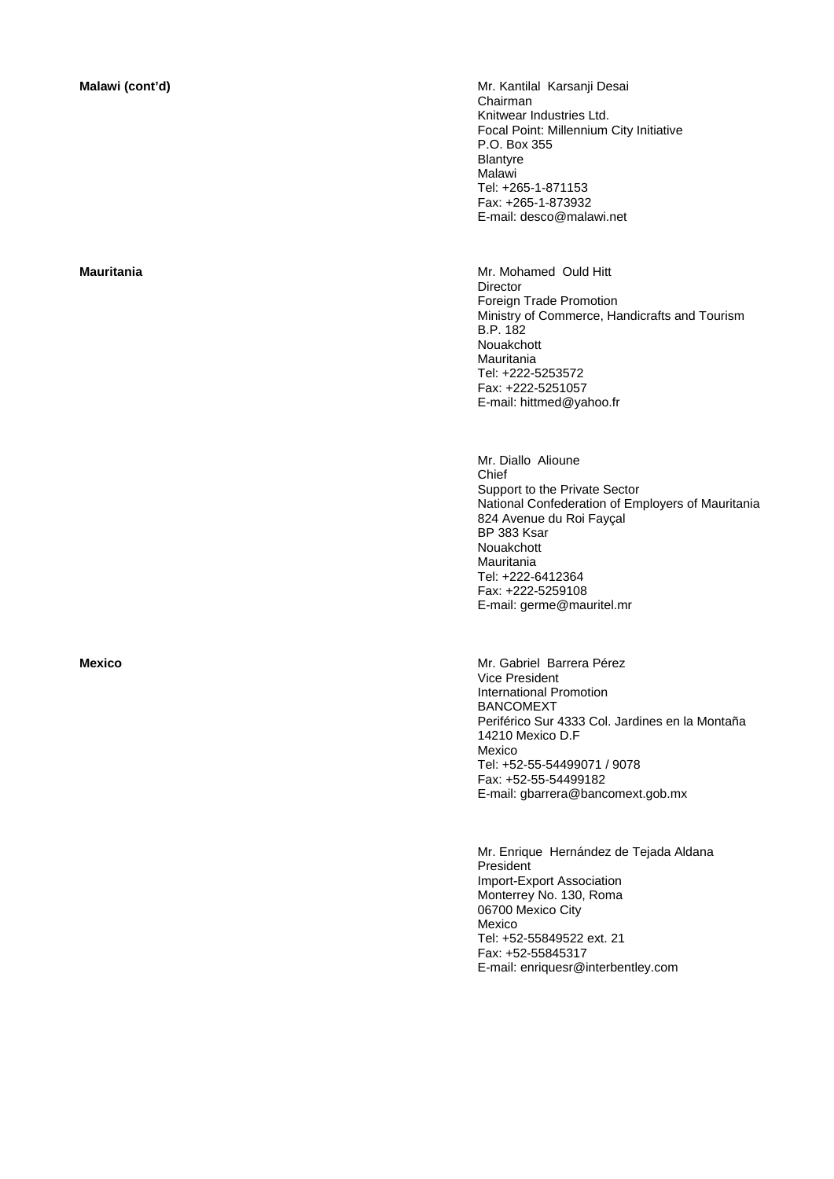**Malawi (cont'd)** Mr. Kantilal Karsanji Desai Chairman Knitwear Industries Ltd. Focal Point: Millennium City Initiative P.O. Box 355 Blantyre **Malawi** Tel: +265-1-871153 Fax: +265-1-873932 E-mail: desco@malawi.net

**Mauritania** Mr. Mohamed Ould Hitt **Director** Foreign Trade Promotion Ministry of Commerce, Handicrafts and Tourism B.P. 182 Nouakchott Mauritania Tel: +222-5253572 Fax: +222-5251057 E-mail: hittmed@yahoo.fr

> Mr. Diallo Alioune Chief Support to the Private Sector National Confederation of Employers of Mauritania 824 Avenue du Roi Fayçal BP 383 Ksar Nouakchott Mauritania Tel: +222-6412364 Fax: +222-5259108 E-mail: germe@mauritel.mr

**Mexico** Mr. Gabriel Barrera Pérez Vice President International Promotion BANCOMEXT Periférico Sur 4333 Col. Jardines en la Montaña 14210 Mexico D.F Mexico Tel: +52-55-54499071 / 9078 Fax: +52-55-54499182 E-mail: gbarrera@bancomext.gob.mx

> Mr. Enrique Hernández de Tejada Aldana President Import-Export Association Monterrey No. 130, Roma 06700 Mexico City Mexico Tel: +52-55849522 ext. 21 Fax: +52-55845317 E-mail: enriquesr@interbentley.com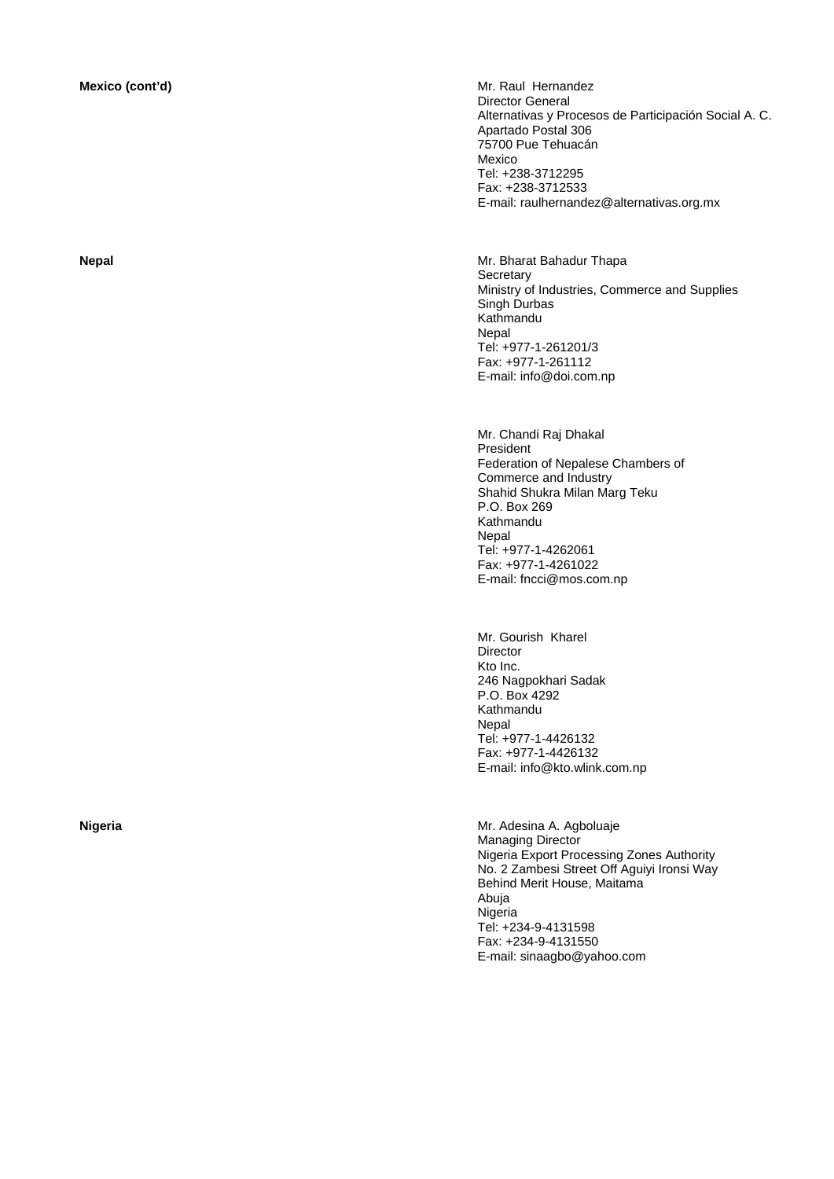**Mexico (cont'd) Maximum Mr. Raul Hernandez Mr. Raul Hernandez** Director General Alternativas y Procesos de Participación Social A. C. Apartado Postal 306 75700 Pue Tehuacán Mexico Tel: +238-3712295 Fax: +238-3712533 E-mail: raulhernandez@alternativas.org.mx

**Nepal** Mr. Bharat Bahadur Thapa **Secretary** Ministry of Industries, Commerce and Supplies Singh Durbas Kathmandu **Nepal** Tel: +977-1-261201/3 Fax: +977-1-261112 E-mail: info@doi.com.np

> Mr. Chandi Raj Dhakal President Federation of Nepalese Chambers of Commerce and Industry Shahid Shukra Milan Marg Teku P.O. Box 269 Kathmandu Nepal Tel: +977-1-4262061 Fax: +977-1-4261022 E-mail: fncci@mos.com.np

 Mr. Gourish Kharel Director Kto Inc. 246 Nagpokhari Sadak P.O. Box 4292 Kathmandu Nepal Tel: +977-1-4426132 Fax: +977-1-4426132 E-mail: info@kto.wlink.com.np

**Nigeria** Mr. Adesina A. Agboluaje Managing Director Nigeria Export Processing Zones Authority No. 2 Zambesi Street Off Aguiyi Ironsi Way Behind Merit House, Maitama Abuja Nigeria Tel: +234-9-4131598 Fax: +234-9-4131550 E-mail: sinaagbo@yahoo.com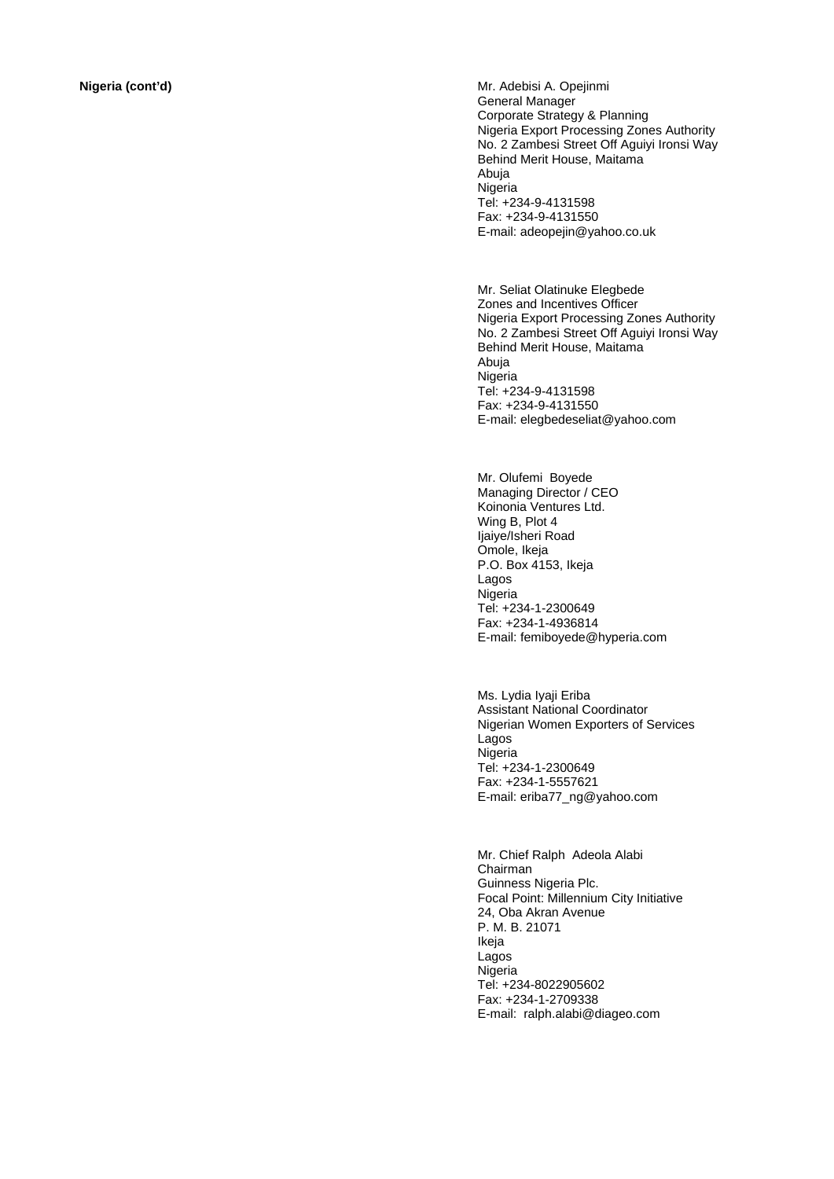**Nigeria (cont'd) Nigeria (cont'd) Mr. Adebisi A. Opejinmi** General Manager Corporate Strategy & Planning Nigeria Export Processing Zones Authority No. 2 Zambesi Street Off Aguiyi Ironsi Way Behind Merit House, Maitama Abuja Nigeria Tel: +234-9-4131598 Fax: +234-9-4131550 E-mail: adeopejin@yahoo.co.uk

> Mr. Seliat Olatinuke Elegbede Zones and Incentives Officer Nigeria Export Processing Zones Authority No. 2 Zambesi Street Off Aguiyi Ironsi Way Behind Merit House, Maitama Abuja **Nigeria** Tel: +234-9-4131598 Fax: +234-9-4131550 E-mail: elegbedeseliat@yahoo.com

Mr. Olufemi Boyede Managing Director / CEO Koinonia Ventures Ltd. Wing B, Plot 4 Ijaiye/Isheri Road Omole, Ikeja P.O. Box 4153, Ikeja Lagos **Nigeria** Tel: +234-1-2300649 Fax: +234-1-4936814 E-mail: femiboyede@hyperia.com

Ms. Lydia Iyaji Eriba Assistant National Coordinator Nigerian Women Exporters of Services Lagos Nigeria Tel: +234-1-2300649 Fax: +234-1-5557621 E-mail: eriba77\_ng@yahoo.com

Mr. Chief Ralph Adeola Alabi Chairman Guinness Nigeria Plc. Focal Point: Millennium City Initiative 24, Oba Akran Avenue P. M. B. 21071 Ikeja Lagos Nigeria Tel: +234-8022905602 Fax: +234-1-2709338 E-mail: ralph.alabi@diageo.com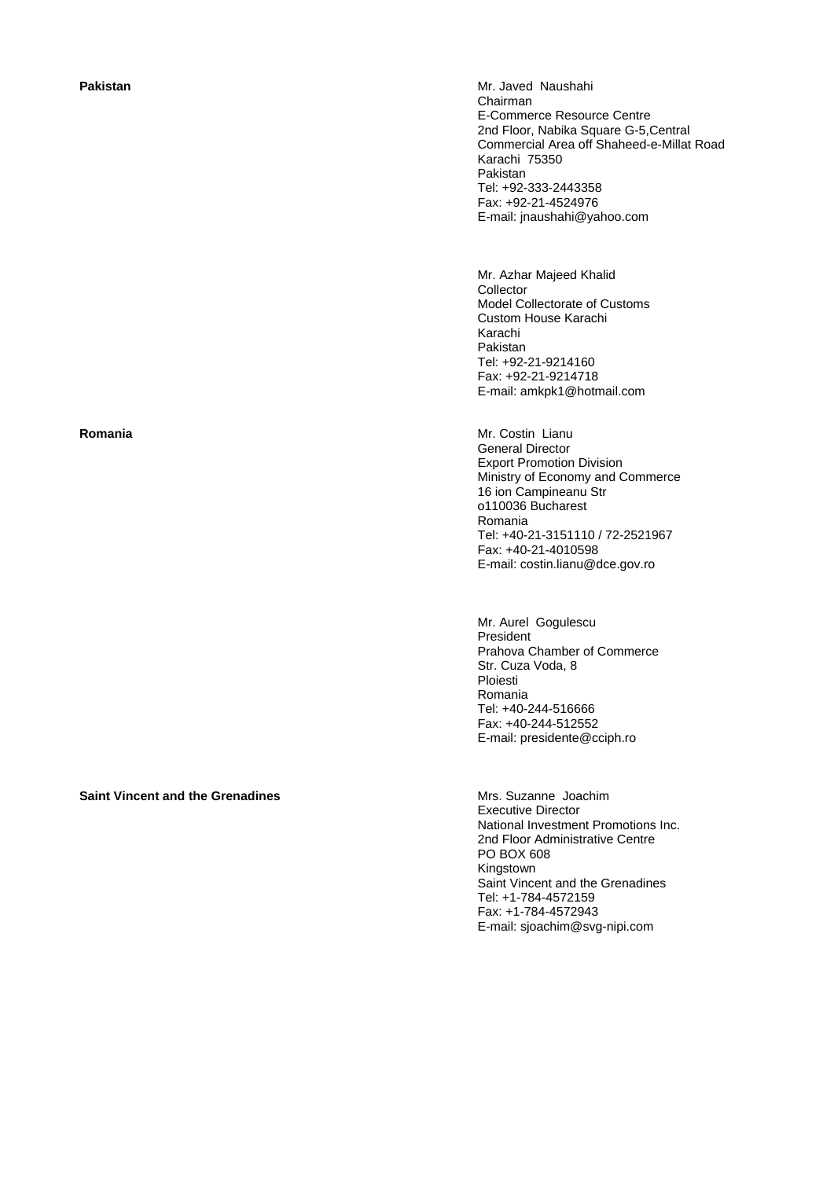**Saint Vincent and the Grenadines Mrs. Suzanne Joachim** 

**Pakistan** *Mr. Javed Naushahi* Mr. Javed Naushahi Chairman E-Commerce Resource Centre 2nd Floor, Nabika Square G-5,Central Commercial Area off Shaheed-e-Millat Road Karachi 75350 Pakistan Tel: +92-333-2443358 Fax: +92-21-4524976 E-mail: jnaushahi@yahoo.com

> Mr. Azhar Majeed Khalid Collector Model Collectorate of Customs Custom House Karachi Karachi Pakistan Tel: +92-21-9214160 Fax: +92-21-9214718 E-mail: amkpk1@hotmail.com

**Romania Mr. Costin Lianu** General Director Export Promotion Division Ministry of Economy and Commerce 16 ion Campineanu Str o110036 Bucharest Romania Tel: +40-21-3151110 / 72-2521967 Fax: +40-21-4010598 E-mail: costin.lianu@dce.gov.ro

> Mr. Aurel Gogulescu President Prahova Chamber of Commerce Str. Cuza Voda, 8 Ploiesti Romania Tel: +40-244-516666 Fax: +40-244-512552 E-mail: presidente@cciph.ro

Executive Director National Investment Promotions Inc. 2nd Floor Administrative Centre PO BOX 608 **Kingstown** Saint Vincent and the Grenadines Tel: +1-784-4572159 Fax: +1-784-4572943 E-mail: sjoachim@svg-nipi.com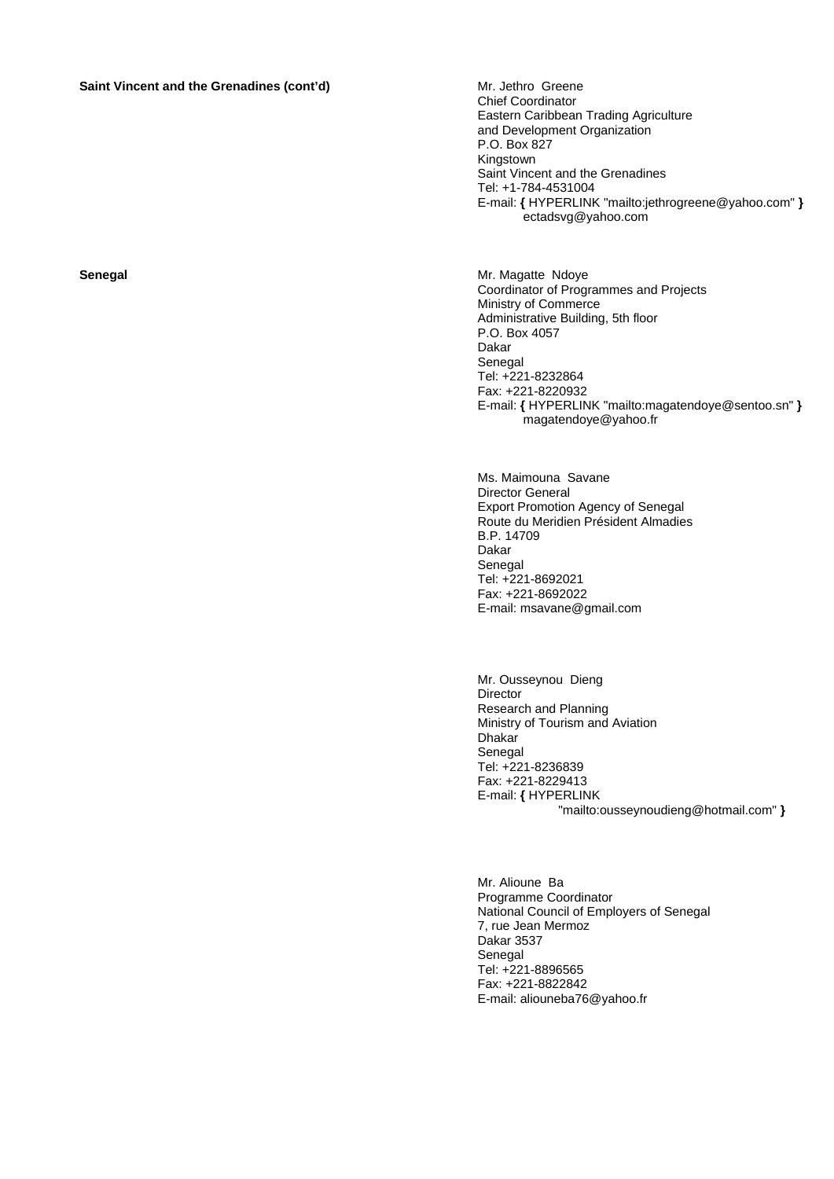# **Saint Vincent and the Grenadines (cont'd)** Mr. Jethro Greene

Chief Coordinator Eastern Caribbean Trading Agriculture and Development Organization P.O. Box 827 Kingstown Saint Vincent and the Grenadines Tel: +1-784-4531004 E-mail: **{** HYPERLINK "mailto:jethrogreene@yahoo.com" **}** ectadsvg@yahoo.com

**Senegal Senegal Mr. Magatte Ndoye Mr. Magatte Ndoye** Coordinator of Programmes and Projects Ministry of Commerce Administrative Building, 5th floor P.O. Box 4057 Dakar Senegal Tel: +221-8232864 Fax: +221-8220932 E-mail: **{** HYPERLINK "mailto:magatendoye@sentoo.sn" **}** magatendoye@yahoo.fr

> Ms. Maimouna Savane Director General Export Promotion Agency of Senegal Route du Meridien Président Almadies B.P. 14709 Dakar Senegal Tel: +221-8692021 Fax: +221-8692022 E-mail: msavane@gmail.com

Mr. Ousseynou Dieng Director Research and Planning Ministry of Tourism and Aviation Dhakar Senegal Tel: +221-8236839 Fax: +221-8229413 E-mail: **{** HYPERLINK "mailto:ousseynoudieng@hotmail.com" **}**

Mr. Alioune Ba Programme Coordinator National Council of Employers of Senegal 7, rue Jean Mermoz Dakar 3537 Senegal Tel: +221-8896565 Fax: +221-8822842 E-mail: aliouneba76@yahoo.fr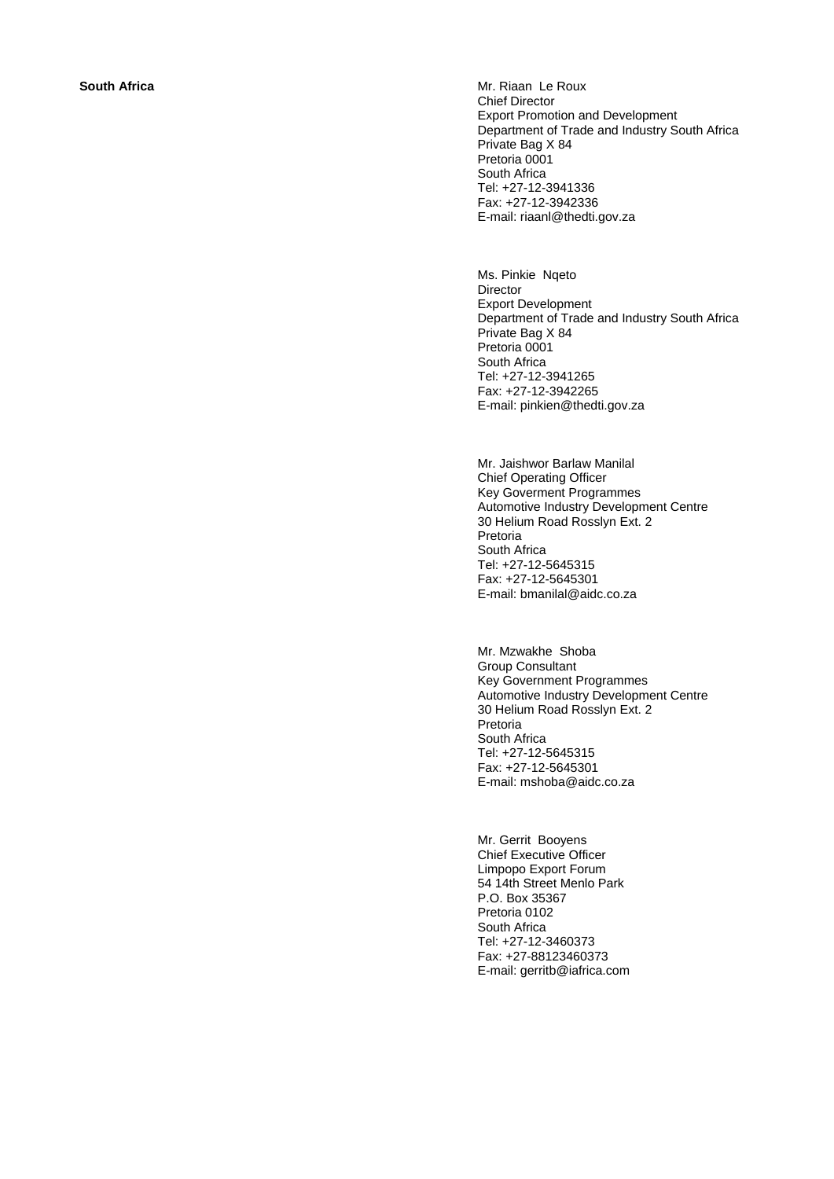**South Africa Mr. Riaan Le Roux Mr. Riaan Le Roux** Chief Director Export Promotion and Development Department of Trade and Industry South Africa Private Bag X 84 Pretoria 0001 South Africa Tel: +27-12-3941336 Fax: +27-12-3942336 E-mail: riaanl@thedti.gov.za

> Ms. Pinkie Nqeto Director Export Development Department of Trade and Industry South Africa Private Bag X 84 Pretoria 0001 South Africa Tel: +27-12-3941265 Fax: +27-12-3942265 E-mail: pinkien@thedti.gov.za

Mr. Jaishwor Barlaw Manilal Chief Operating Officer Key Goverment Programmes Automotive Industry Development Centre 30 Helium Road Rosslyn Ext. 2 Pretoria South Africa Tel: +27-12-5645315 Fax: +27-12-5645301 E-mail: bmanilal@aidc.co.za

Mr. Mzwakhe Shoba Group Consultant Key Government Programmes Automotive Industry Development Centre 30 Helium Road Rosslyn Ext. 2 Pretoria South Africa Tel: +27-12-5645315 Fax: +27-12-5645301 E-mail: mshoba@aidc.co.za

Mr. Gerrit Booyens Chief Executive Officer Limpopo Export Forum 54 14th Street Menlo Park P.O. Box 35367 Pretoria 0102 South Africa Tel: +27-12-3460373 Fax: +27-88123460373 E-mail: gerritb@iafrica.com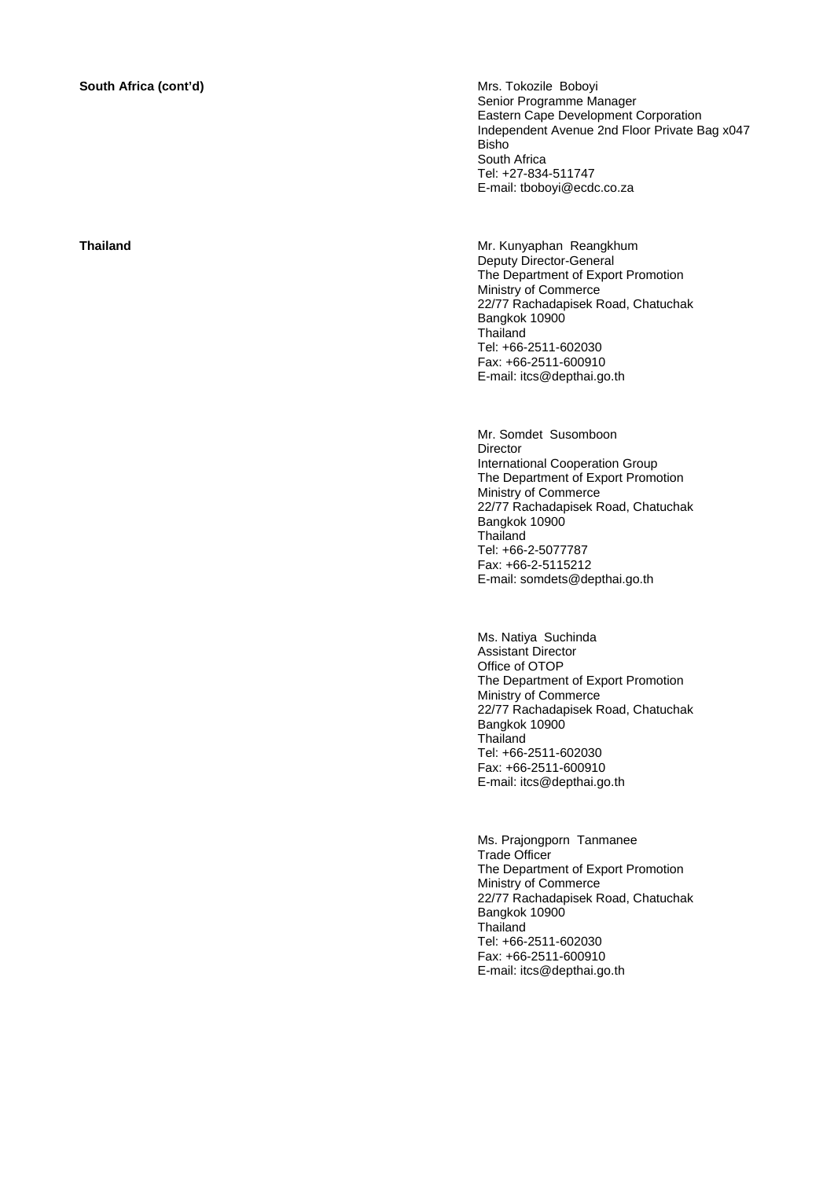**South Africa (cont'd) Mrs. Tokozile Boboyi Mrs. Tokozile Boboyi** Senior Programme Manager Eastern Cape Development Corporation Independent Avenue 2nd Floor Private Bag x047 Bisho South Africa Tel: +27-834-511747 E-mail: tboboyi@ecdc.co.za

**Thailand** Mr. Kunyaphan Reangkhum Deputy Director-General The Department of Export Promotion Ministry of Commerce 22/77 Rachadapisek Road, Chatuchak Bangkok 10900 **Thailand** Tel: +66-2511-602030 Fax: +66-2511-600910 E-mail: itcs@depthai.go.th

> Mr. Somdet Susomboon Director International Cooperation Group The Department of Export Promotion Ministry of Commerce 22/77 Rachadapisek Road, Chatuchak Bangkok 10900 **Thailand** Tel: +66-2-5077787 Fax: +66-2-5115212 E-mail: somdets@depthai.go.th

> Ms. Natiya Suchinda Assistant Director Office of OTOP The Department of Export Promotion Ministry of Commerce 22/77 Rachadapisek Road, Chatuchak Bangkok 10900 Thailand Tel: +66-2511-602030 Fax: +66-2511-600910 E-mail: itcs@depthai.go.th

> Ms. Prajongporn Tanmanee Trade Officer The Department of Export Promotion Ministry of Commerce 22/77 Rachadapisek Road, Chatuchak Bangkok 10900 **Thailand** Tel: +66-2511-602030 Fax: +66-2511-600910 E-mail: itcs@depthai.go.th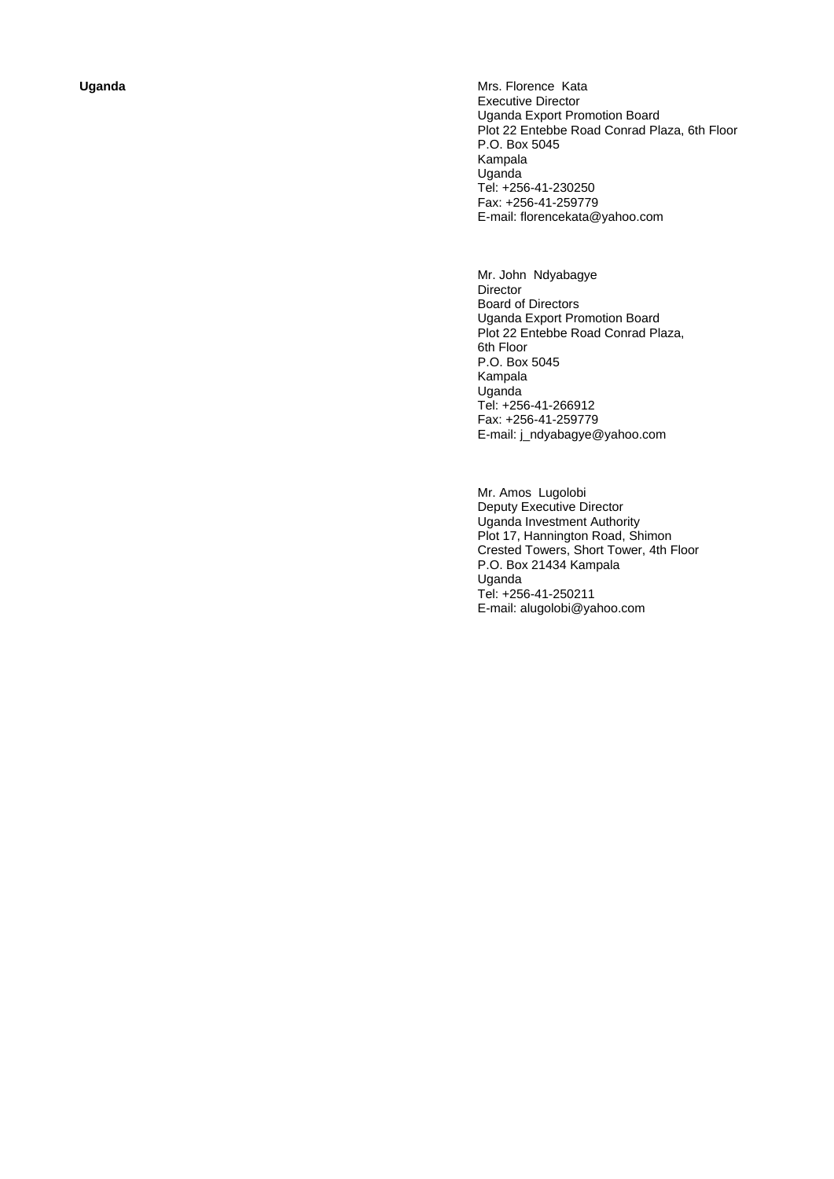Uganda **Contract Contract Contract Contract Contract Contract Contract Contract Contract Contract Contract Contract Contract Contract Contract Contract Contract Contract Contract Contract Contract Contract Contract Contrac** Executive Director Uganda Export Promotion Board Plot 22 Entebbe Road Conrad Plaza, 6th Floor P.O. Box 5045 Kampala Uganda Tel: +256-41-230250 Fax: +256-41-259779 E-mail: florencekata@yahoo.com

> Mr. John Ndyabagye Director Board of Directors Uganda Export Promotion Board Plot 22 Entebbe Road Conrad Plaza, 6th Floor P.O. Box 5045 Kampala Uganda Tel: +256-41-266912 Fax: +256-41-259779 E-mail: j\_ndyabagye@yahoo.com

Mr. Amos Lugolobi Deputy Executive Director Uganda Investment Authority Plot 17, Hannington Road, Shimon Crested Towers, Short Tower, 4th Floor P.O. Box 21434 Kampala Uganda Tel: +256-41-250211 E-mail: alugolobi@yahoo.com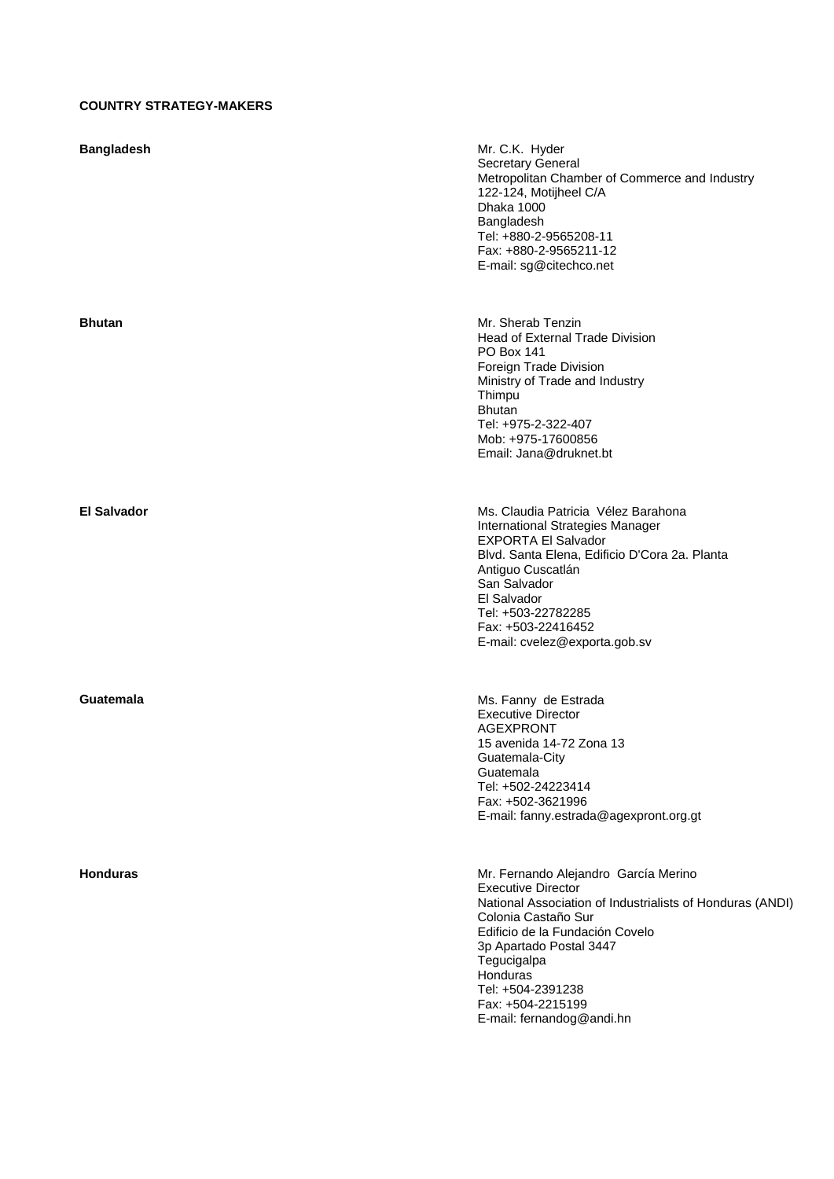# **COUNTRY STRATEGY-MAKERS**

| <b>Bangladesh</b>  | Mr. C.K. Hyder<br>Secretary General<br>Metropolitan Chamber of Commerce and Industry<br>122-124, Motijheel C/A<br>Dhaka 1000<br>Bangladesh<br>Tel: +880-2-9565208-11<br>Fax: +880-2-9565211-12<br>E-mail: sg@citechco.net                                                                                             |
|--------------------|-----------------------------------------------------------------------------------------------------------------------------------------------------------------------------------------------------------------------------------------------------------------------------------------------------------------------|
| <b>Bhutan</b>      | Mr. Sherab Tenzin<br>Head of External Trade Division<br><b>PO Box 141</b><br>Foreign Trade Division<br>Ministry of Trade and Industry<br>Thimpu<br><b>Bhutan</b><br>Tel: +975-2-322-407<br>Mob: +975-17600856<br>Email: Jana@druknet.bt                                                                               |
| <b>El Salvador</b> | Ms. Claudia Patricia Vélez Barahona<br>International Strategies Manager<br><b>EXPORTA El Salvador</b><br>Blvd. Santa Elena, Edificio D'Cora 2a. Planta<br>Antiguo Cuscatlán<br>San Salvador<br>El Salvador<br>Tel: +503-22782285<br>Fax: +503-22416452<br>E-mail: cvelez@exporta.gob.sv                               |
| Guatemala          | Ms. Fanny de Estrada<br><b>Executive Director</b><br><b>AGEXPRONT</b><br>15 avenida 14-72 Zona 13<br>Guatemala-City<br>Guatemala<br>Tel: +502-24223414<br>Fax: +502-3621996<br>E-mail: fanny.estrada@agexpront.org.gt                                                                                                 |
| <b>Honduras</b>    | Mr. Fernando Alejandro García Merino<br><b>Executive Director</b><br>National Association of Industrialists of Honduras (ANDI)<br>Colonia Castaño Sur<br>Edificio de la Fundación Covelo<br>3p Apartado Postal 3447<br>Tegucigalpa<br>Honduras<br>Tel: +504-2391238<br>Fax: +504-2215199<br>E-mail: fernandog@andi.hn |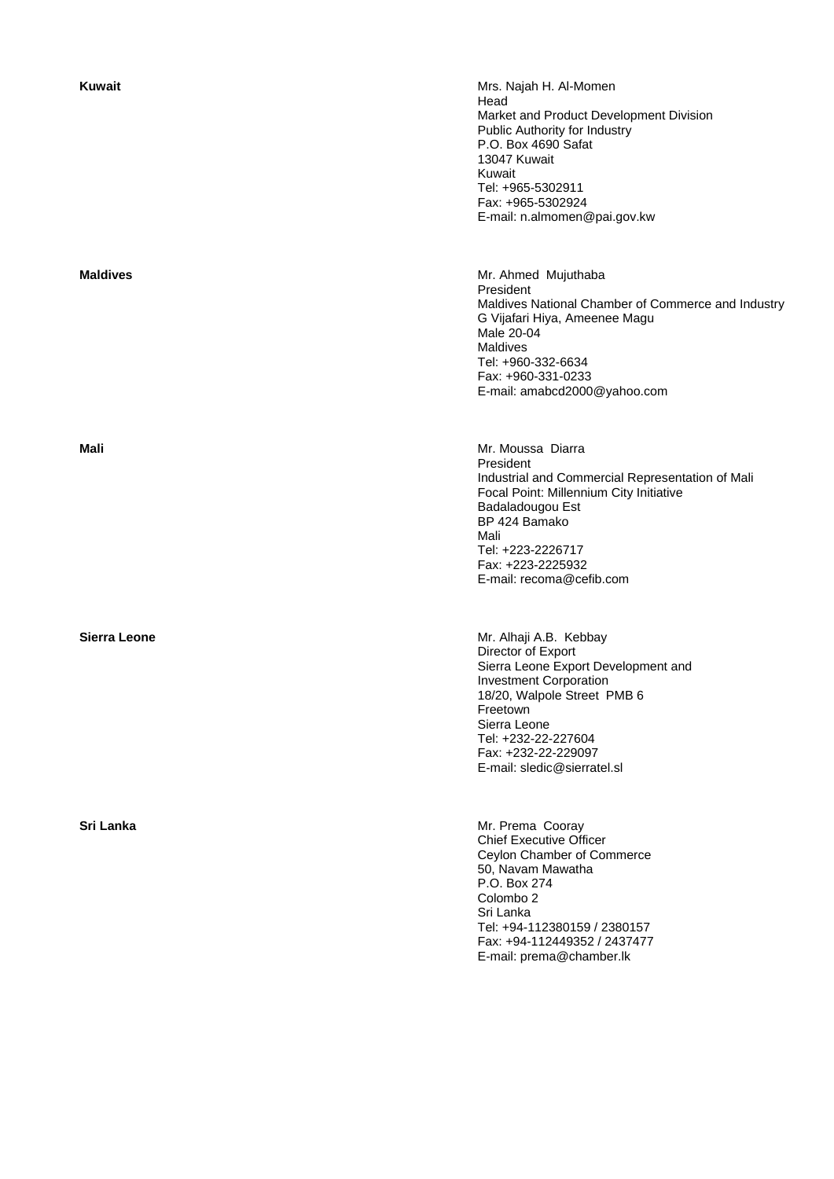| Kuwait       | Mrs. Najah H. Al-Momen<br>Head<br>Market and Product Development Division<br>Public Authority for Industry<br>P.O. Box 4690 Safat<br>13047 Kuwait<br>Kuwait<br>Tel: +965-5302911<br>Fax: +965-5302924<br>E-mail: n.almomen@pai.gov.kw                        |
|--------------|--------------------------------------------------------------------------------------------------------------------------------------------------------------------------------------------------------------------------------------------------------------|
| Maldives     | Mr. Ahmed Mujuthaba<br>President<br>Maldives National Chamber of Commerce and Industry<br>G Vijafari Hiya, Ameenee Magu<br>Male 20-04<br>Maldives<br>Tel: +960-332-6634<br>Fax: +960-331-0233<br>E-mail: amabcd2000@yahoo.com                                |
| Mali         | Mr. Moussa Diarra<br>President<br>Industrial and Commercial Representation of Mali<br>Focal Point: Millennium City Initiative<br>Badaladougou Est<br>BP 424 Bamako<br>Mali<br>Tel: +223-2226717<br>Fax: +223-2225932<br>E-mail: recoma@cefib.com             |
| Sierra Leone | Mr. Alhaji A.B. Kebbay<br>Director of Export<br>Sierra Leone Export Development and<br><b>Investment Corporation</b><br>18/20, Walpole Street PMB 6<br>Freetown<br>Sierra Leone<br>Tel: +232-22-227604<br>Fax: +232-22-229097<br>E-mail: sledic@sierratel.sl |
| Sri Lanka    | Mr. Prema Cooray<br><b>Chief Executive Officer</b><br>Ceylon Chamber of Commerce<br>50, Navam Mawatha<br>P.O. Box 274<br>Colombo <sub>2</sub><br>Sri Lanka<br>Tel: +94-112380159 / 2380157<br>Fax: +94-112449352 / 2437477<br>E-mail: prema@chamber.lk       |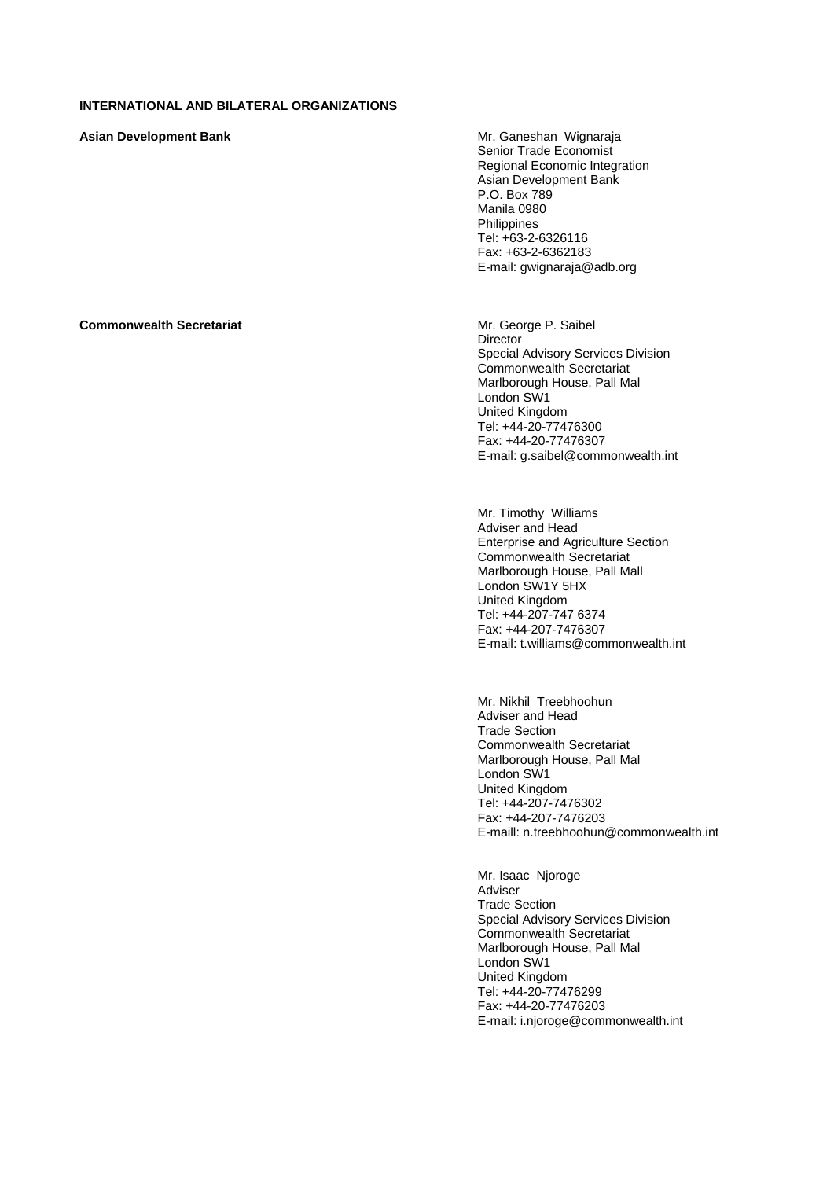### **INTERNATIONAL AND BILATERAL ORGANIZATIONS**

**Asian Development Bank <br>
Mr. Ganeshan Wignaraja** 

Senior Trade Economist Regional Economic Integration Asian Development Bank P.O. Box 789 Manila 0980 Philippines Tel: +63-2-6326116 Fax: +63-2-6362183 E-mail: gwignaraja@adb.org

### **Commonwealth Secretariat** Mr. George P. Saibel

**Director** Special Advisory Services Division Commonwealth Secretariat Marlborough House, Pall Mal London SW1 United Kingdom Tel: +44-20-77476300 Fax: +44-20-77476307 E-mail: g.saibel@commonwealth.int

Mr. Timothy Williams Adviser and Head Enterprise and Agriculture Section Commonwealth Secretariat Marlborough House, Pall Mall London SW1Y 5HX United Kingdom Tel: +44-207-747 6374 Fax: +44-207-7476307 E-mail: t.williams@commonwealth.int

Mr. Nikhil Treebhoohun Adviser and Head Trade Section Commonwealth Secretariat Marlborough House, Pall Mal London SW1 United Kingdom Tel: +44-207-7476302 Fax: +44-207-7476203 E-maill: n.treebhoohun@commonwealth.int

Mr. Isaac Njoroge Adviser Trade Section Special Advisory Services Division Commonwealth Secretariat Marlborough House, Pall Mal London SW1 United Kingdom Tel: +44-20-77476299 Fax: +44-20-77476203 E-mail: i.njoroge@commonwealth.int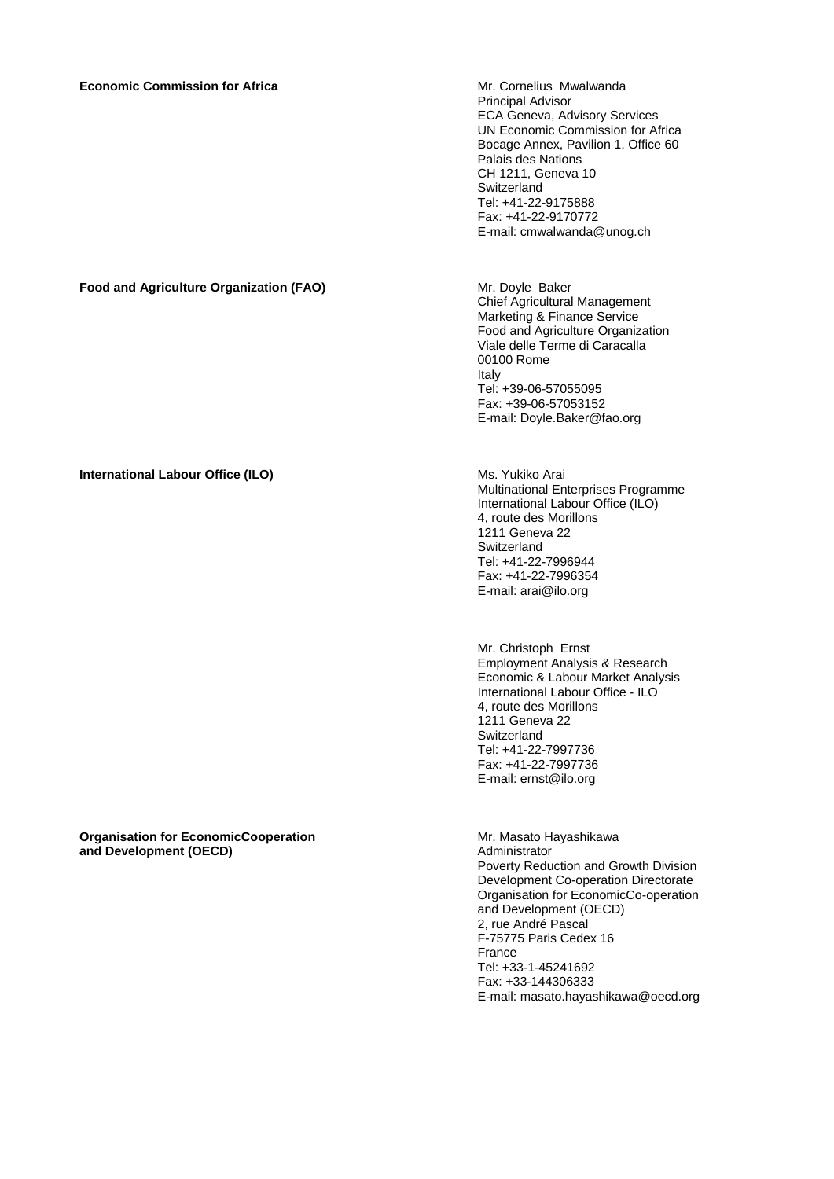Principal Advisor ECA Geneva, Advisory Services UN Economic Commission for Africa Bocage Annex, Pavilion 1, Office 60 Palais des Nations CH 1211, Geneva 10 **Switzerland** Tel: +41-22-9175888 Fax: +41-22-9170772 E-mail: cmwalwanda@unog.ch

**Food and Agriculture Organization (FAO) Mr. Doyle Baker** Chief Agricultural Management Marketing & Finance Service Food and Agriculture Organization Viale delle Terme di Caracalla 00100 Rome Italy Tel: +39-06-57055095 Fax: +39-06-57053152 E-mail: Doyle.Baker@fao.org

**International Labour Office (ILO)** Ms. Yukiko Arai Multinational Enterprises Programme International Labour Office (ILO) 4, route des Morillons 1211 Geneva 22 Switzerland Tel: +41-22-7996944 Fax: +41-22-7996354 E-mail: arai@ilo.org

> Mr. Christoph Ernst Employment Analysis & Research Economic & Labour Market Analysis International Labour Office - ILO 4, route des Morillons 1211 Geneva 22 **Switzerland** Tel: +41-22-7997736 Fax: +41-22-7997736 E-mail: ernst@ilo.org

**Organisation for EconomicCooperation and Development (OECD)** 

Mr. Masato Hayashikawa Administrator Poverty Reduction and Growth Division Development Co-operation Directorate Organisation for EconomicCo-operation and Development (OECD) 2, rue André Pascal F-75775 Paris Cedex 16 France Tel: +33-1-45241692 Fax: +33-144306333 E-mail: masato.hayashikawa@oecd.org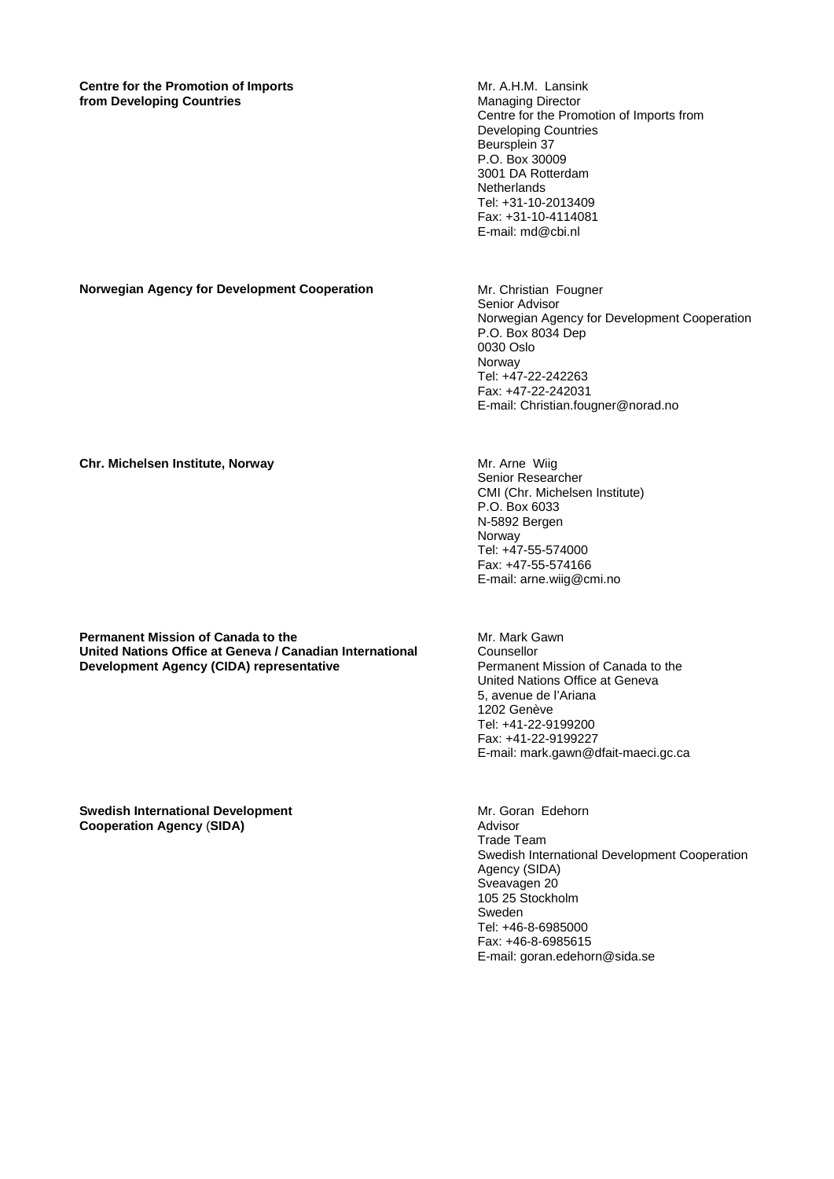### **Centre for the Promotion of Imports from Developing Countries**

Mr. A.H.M. Lansink Managing Director Centre for the Promotion of Imports from Developing Countries Beursplein 37 P.O. Box 30009 3001 DA Rotterdam **Netherlands** Tel: +31-10-2013409 Fax: +31-10-4114081 E-mail: md@cbi.nl

**Norwegian Agency for Development Cooperation Mr. Christian Fougner** 

Senior Advisor Norwegian Agency for Development Cooperation P.O. Box 8034 Dep 0030 Oslo Norway Tel: +47-22-242263 Fax: +47-22-242031 E-mail: Christian.fougner@norad.no

**Chr. Michelsen Institute, Norway**  WE ALL MOVE **MICHELL MICHELL MICHELL MICHELL MICHELL MICHELL MICHELL MICHELL** 

Senior Researcher CMI (Chr. Michelsen Institute) P.O. Box 6033 N-5892 Bergen Norway Tel: +47-55-574000 Fax: +47-55-574166 E-mail: arne.wiig@cmi.no

**Permanent Mission of Canada to the United Nations Office at Geneva / Canadian International Development Agency (CIDA) representative** 

Mr. Mark Gawn Counsellor Permanent Mission of Canada to the United Nations Office at Geneva 5, avenue de l'Ariana 1202 Genève Tel: +41-22-9199200 Fax: +41-22-9199227 E-mail: mark.gawn@dfait-maeci.gc.ca

**Swedish International Development Cooperation Agency** (**SIDA)** 

Mr. Goran Edehorn Advisor Trade Team Swedish International Development Cooperation Agency (SIDA) Sveavagen 20 105 25 Stockholm Sweden Tel: +46-8-6985000 Fax: +46-8-6985615 E-mail: goran.edehorn@sida.se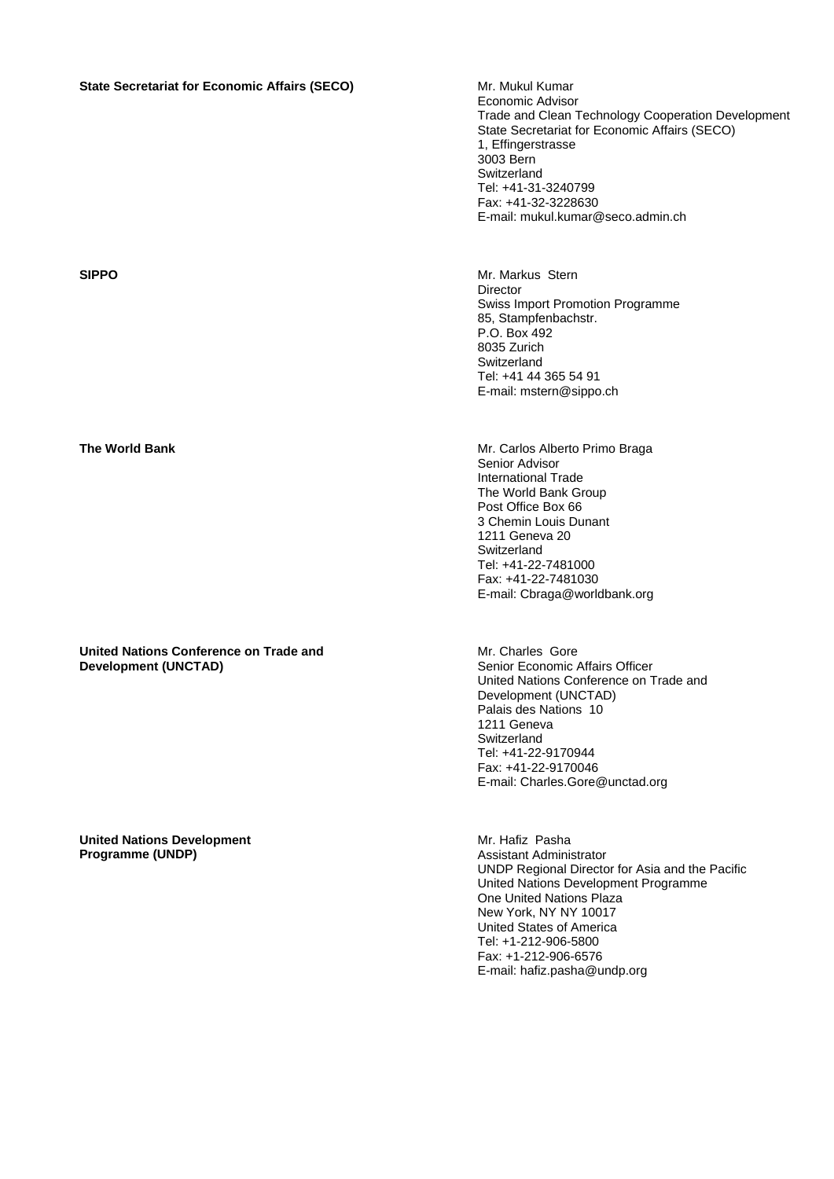# **State Secretariat for Economic Affairs (SECO)** Mr. Mukul Kumar

**United Nations Conference on Trade and Development (UNCTAD)** 

**United Nations Development Programme (UNDP)** 

Economic Advisor Trade and Clean Technology Cooperation Development State Secretariat for Economic Affairs (SECO) 1, Effingerstrasse 3003 Bern **Switzerland** Tel: +41-31-3240799 Fax: +41-32-3228630 E-mail: mukul.kumar@seco.admin.ch

**SIPPO Mr. Markus Stern Director** Swiss Import Promotion Programme 85, Stampfenbachstr. P.O. Box 492 8035 Zurich **Switzerland** Tel: +41 44 365 54 91 E-mail: mstern@sippo.ch

**The World Bank**  Mr. Carlos Alberto Primo Braga Senior Advisor International Trade The World Bank Group Post Office Box 66 3 Chemin Louis Dunant 1211 Geneva 20 Switzerland Tel: +41-22-7481000 Fax: +41-22-7481030 E-mail: Cbraga@worldbank.org

> Mr. Charles Gore Senior Economic Affairs Officer United Nations Conference on Trade and Development (UNCTAD) Palais des Nations 10 1211 Geneva Switzerland Tel: +41-22-9170944 Fax: +41-22-9170046 E-mail: Charles.Gore@unctad.org

Mr. Hafiz Pasha Assistant Administrator UNDP Regional Director for Asia and the Pacific United Nations Development Programme One United Nations Plaza New York, NY NY 10017 United States of America Tel: +1-212-906-5800 Fax: +1-212-906-6576 E-mail: hafiz.pasha@undp.org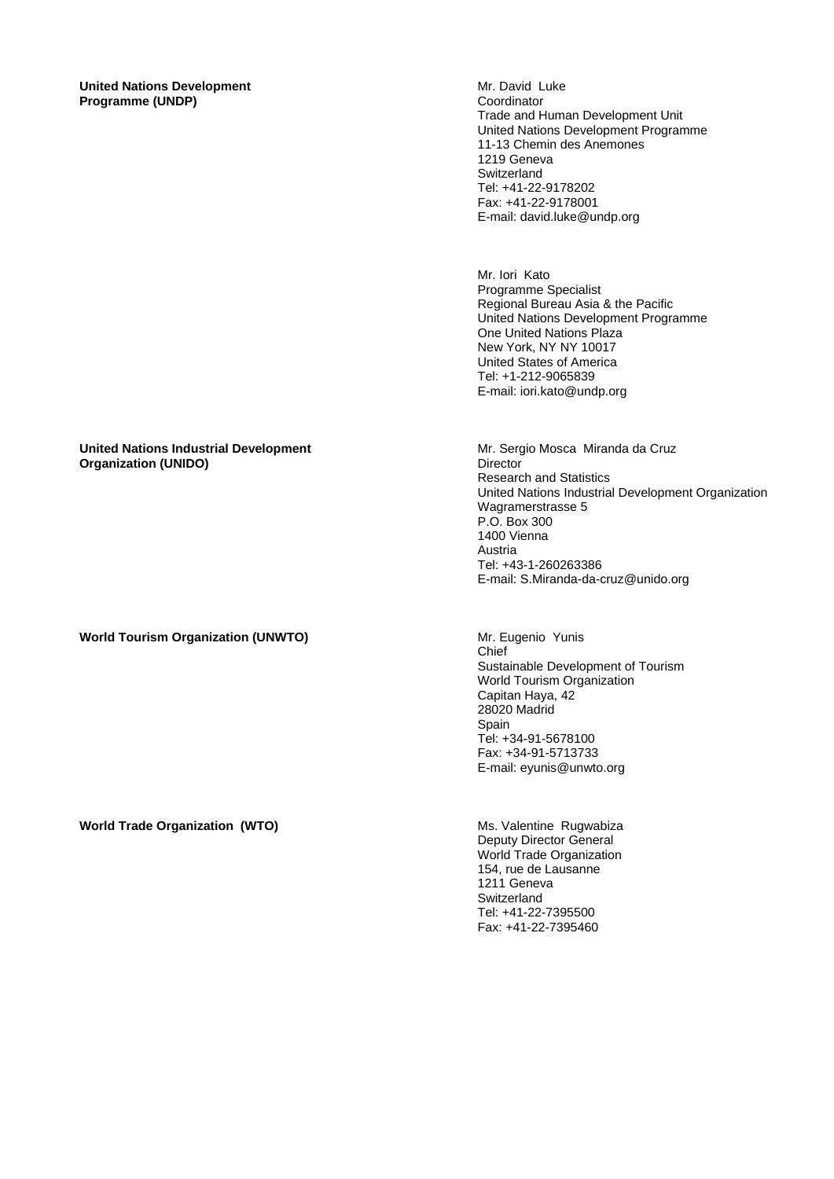**United Nations Development Programme (UNDP)** 

Mr. David Luke Coordinator Trade and Human Development Unit United Nations Development Programme 11-13 Chemin des Anemones 1219 Geneva **Switzerland** Tel: +41-22-9178202 Fax: +41-22-9178001 E-mail: david.luke@undp.org

Mr. Iori Kato Programme Specialist Regional Bureau Asia & the Pacific United Nations Development Programme One United Nations Plaza New York, NY NY 10017 United States of America Tel: +1-212-9065839 E-mail: iori.kato@undp.org

Mr. Sergio Mosca Miranda da Cruz

United Nations Industrial Development Organization

Research and Statistics

Wagramerstrasse 5 P.O. Box 300 1400 Vienna Austria

Tel: +43-1-260263386

**Director** 

## **United Nations Industrial Development Organization (UNIDO)**

**World Tourism Organization (UNWTO) Mr. Eugenio Yunis Mr. Eugenio Yunis** 

Chief Sustainable Development of Tourism World Tourism Organization Capitan Haya, 42 28020 Madrid Spain Tel: +34-91-5678100 Fax: +34-91-5713733 E-mail: eyunis@unwto.org

E-mail: S.Miranda-da-cruz@unido.org

Deputy Director General World Trade Organization 154, rue de Lausanne 1211 Geneva **Switzerland** Tel: +41-22-7395500 Fax: +41-22-7395460

**World Trade Organization (WTO) MS. Valentine Rugwabiza**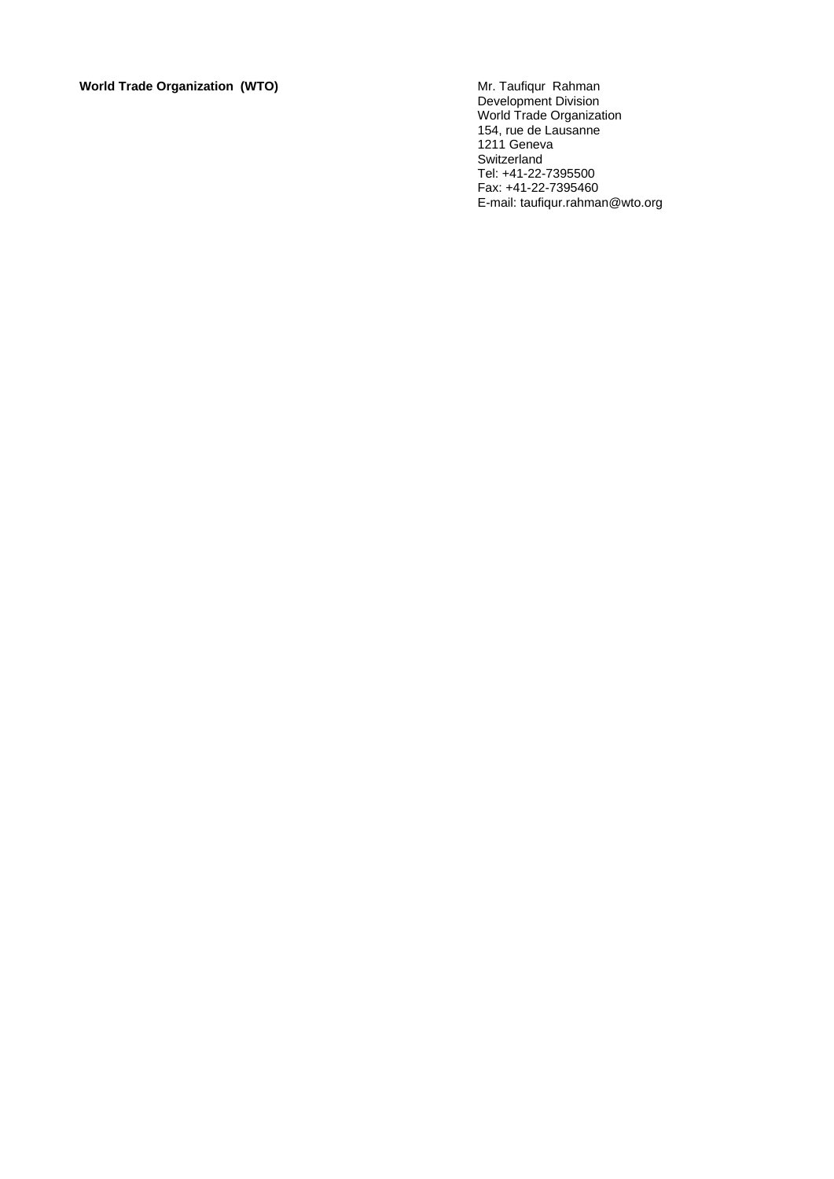**World Trade Organization (WTO)** 

Development Division World Trade Organization 154, rue de Lausanne 1211 Geneva Switzerland Tel: +41-22-7395500 Fax: +41-22-7395460 E-mail: taufiqur.rahman@wto.org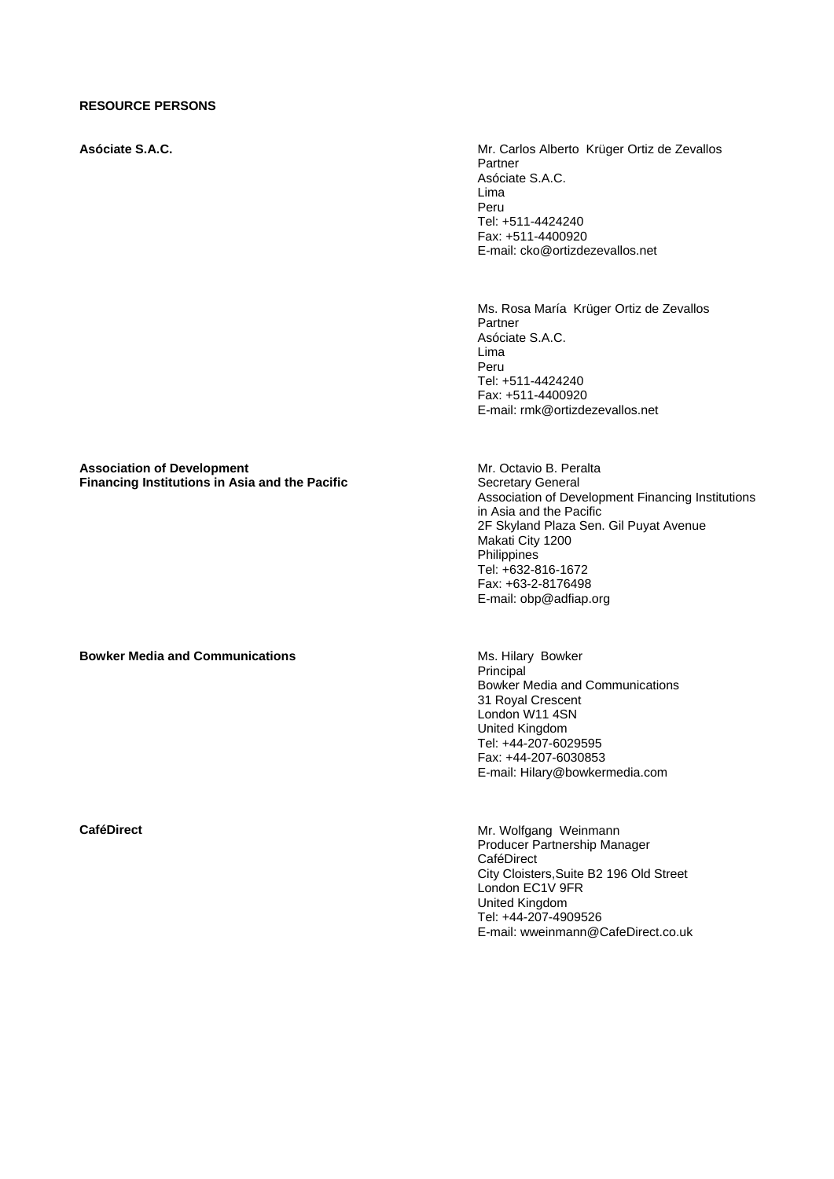### **RESOURCE PERSONS**

**Asóciate S.A.C.** Mr. Carlos Alberto Krüger Ortiz de Zevallos Partner Asóciate S.A.C. Lima Peru Tel: +511-4424240 Fax: +511-4400920 E-mail: cko@ortizdezevallos.net

> Ms. Rosa María Krüger Ortiz de Zevallos Partner Asóciate S.A.C. Lima Peru Tel: +511-4424240 Fax: +511-4400920 E-mail: rmk@ortizdezevallos.net

**Association of Development Financing Institutions in Asia and the Pacific**  Mr. Octavio B. Peralta Secretary General Association of Development Financing Institutions in Asia and the Pacific 2F Skyland Plaza Sen. Gil Puyat Avenue Makati City 1200 **Philippines** Tel: +632-816-1672 Fax: +63-2-8176498 E-mail: obp@adfiap.org

**Bowker Media and Communications**  Ms. Hilary Bowker

Principal Bowker Media and Communications 31 Royal Crescent London W11 4SN United Kingdom Tel: +44-207-6029595 Fax: +44-207-6030853 E-mail: Hilary@bowkermedia.com

**CaféDirect CaféDirect Mr. Wolfgang Weinmann** Producer Partnership Manager **CaféDirect** City Cloisters,Suite B2 196 Old Street London EC1V 9FR United Kingdom Tel: +44-207-4909526 E-mail: wweinmann@CafeDirect.co.uk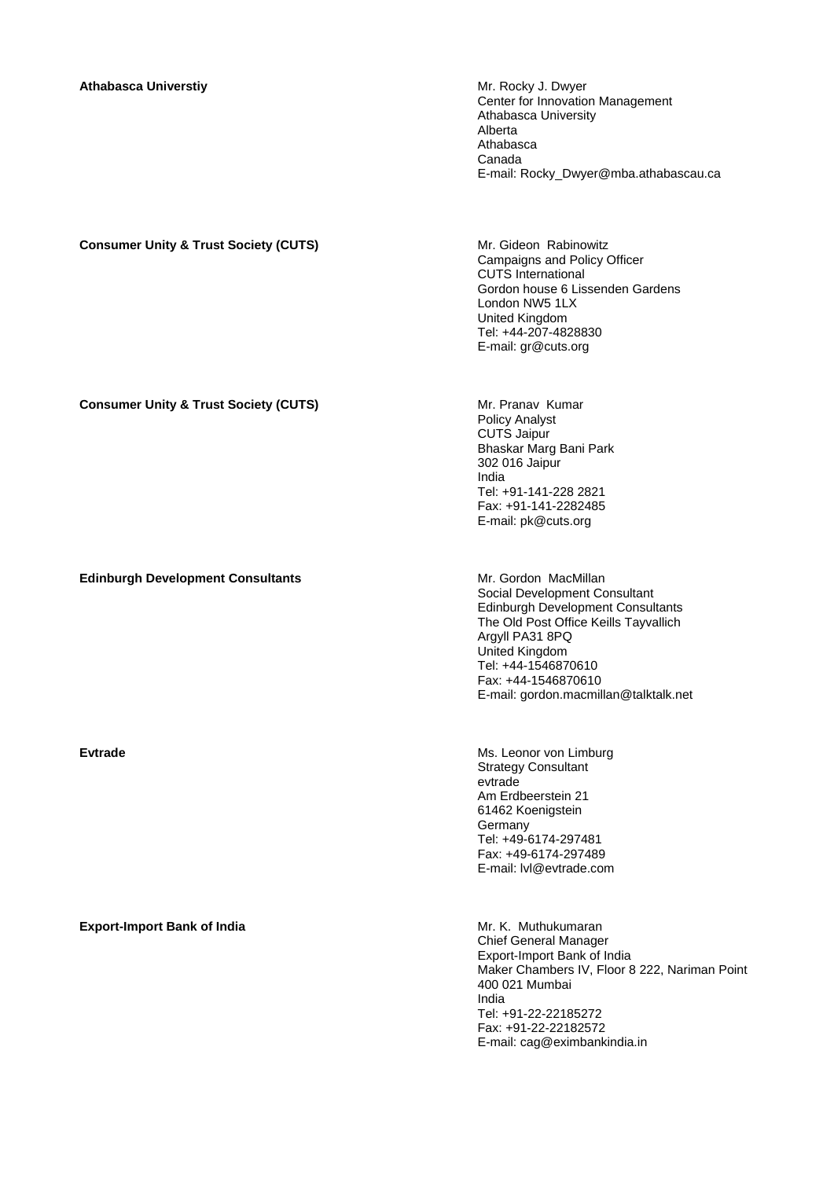## **Athabasca Universtiy <b>Mr. Rocky J. Dwyer** Mr. Rocky J. Dwyer

Center for Innovation Management Athabasca University Alberta Athabasca Canada E-mail: Rocky\_Dwyer@mba.athabascau.ca

# **Consumer Unity & Trust Society (CUTS) Mr. Gideon Rabinowitz**

Campaigns and Policy Officer CUTS International Gordon house 6 Lissenden Gardens London NW5 1LX United Kingdom Tel: +44-207-4828830 E-mail: gr@cuts.org

### **Consumer Unity & Trust Society (CUTS)** Mr. Pranav Kumar

Policy Analyst CUTS Jaipur Bhaskar Marg Bani Park 302 016 Jaipur India Tel: +91-141-228 2821 Fax: +91-141-2282485 E-mail: pk@cuts.org

**Edinburgh Development Consultants** Mr. Gordon MacMillan Social Development Consultant Edinburgh Development Consultants The Old Post Office Keills Tayvallich Argyll PA31 8PQ United Kingdom Tel: +44-1546870610 Fax: +44-1546870610 E-mail: gordon.macmillan@talktalk.net

**Evtrade Ms. Leonor von Limburg Ms. Leonor von Limburg** Strategy Consultant evtrade Am Erdbeerstein 21 61462 Koenigstein **Germany** Tel: +49-6174-297481 Fax: +49-6174-297489 E-mail: lvl@evtrade.com

> Chief General Manager Export-Import Bank of India Maker Chambers IV, Floor 8 222, Nariman Point 400 021 Mumbai India Tel: +91-22-22185272 Fax: +91-22-22182572 E-mail: cag@eximbankindia.in

# **Export-Import Bank of India Mr. K. Muthukumaran** Mr. K. Muthukumaran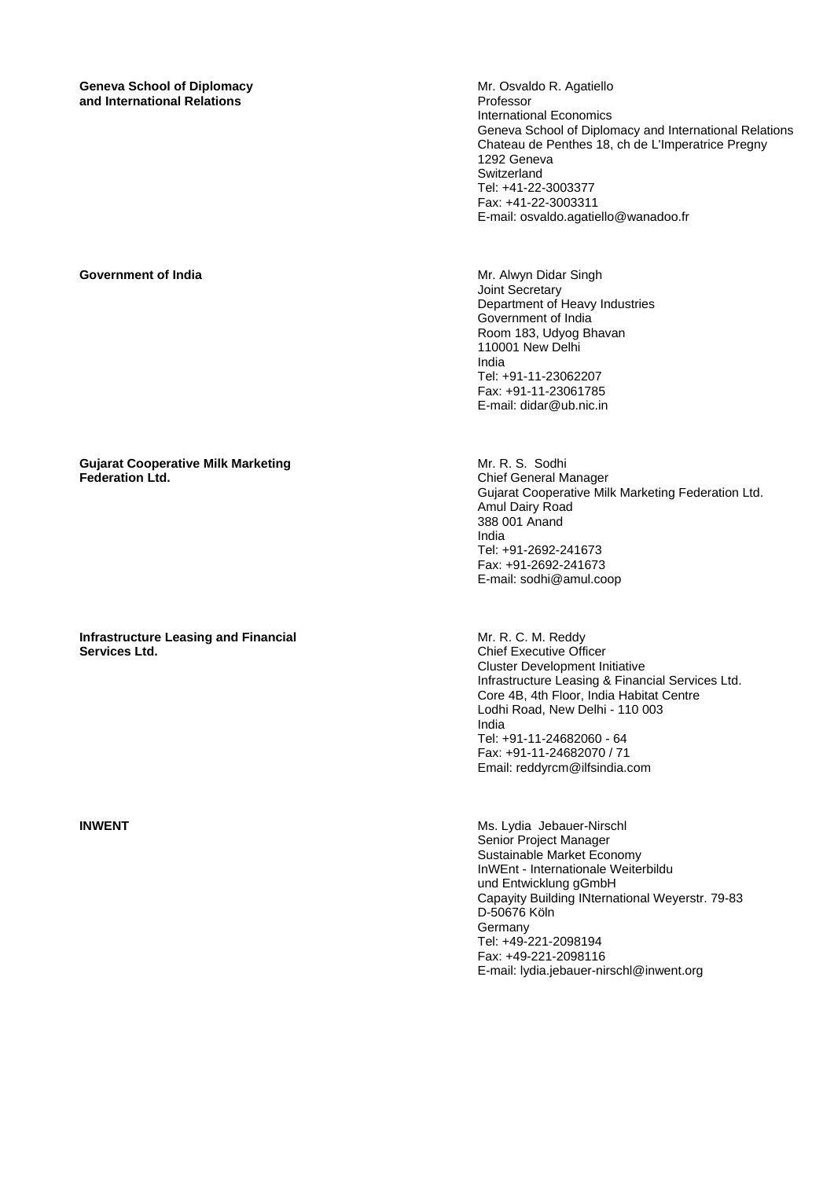**Geneva School of Diplomacy and International Relations** 

**Gujarat Cooperative Milk Marketing Federation Ltd.** 

**Infrastructure Leasing and Financial Services Ltd.** 

Mr. Osvaldo R. Agatiello Professor International Economics Geneva School of Diplomacy and International Relations Chateau de Penthes 18, ch de L'Imperatrice Pregny 1292 Geneva **Switzerland** Tel: +41-22-3003377 Fax: +41-22-3003311 E-mail: osvaldo.agatiello@wanadoo.fr

**Government of India Mr. Alwyn Didar Singh** Joint Secretary Department of Heavy Industries Government of India Room 183, Udyog Bhavan 110001 New Delhi India Tel: +91-11-23062207 Fax: +91-11-23061785 E-mail: didar@ub.nic.in

> Mr. R. S. Sodhi Chief General Manager Gujarat Cooperative Milk Marketing Federation Ltd. Amul Dairy Road 388 001 Anand India Tel: +91-2692-241673 Fax: +91-2692-241673 E-mail: sodhi@amul.coop

Mr. R. C. M. Reddy Chief Executive Officer Cluster Development Initiative Infrastructure Leasing & Financial Services Ltd. Core 4B, 4th Floor, India Habitat Centre Lodhi Road, New Delhi - 110 003 India Tel: +91-11-24682060 - 64 Fax: +91-11-24682070 / 71 Email: reddyrcm@ilfsindia.com

**INWENT** Ms. Lydia Jebauer-Nirschl Senior Project Manager Sustainable Market Economy InWEnt - Internationale Weiterbildu und Entwicklung gGmbH Capayity Building INternational Weyerstr. 79-83 D-50676 Köln Germany Tel: +49-221-2098194 Fax: +49-221-2098116 E-mail: lydia.jebauer-nirschl@inwent.org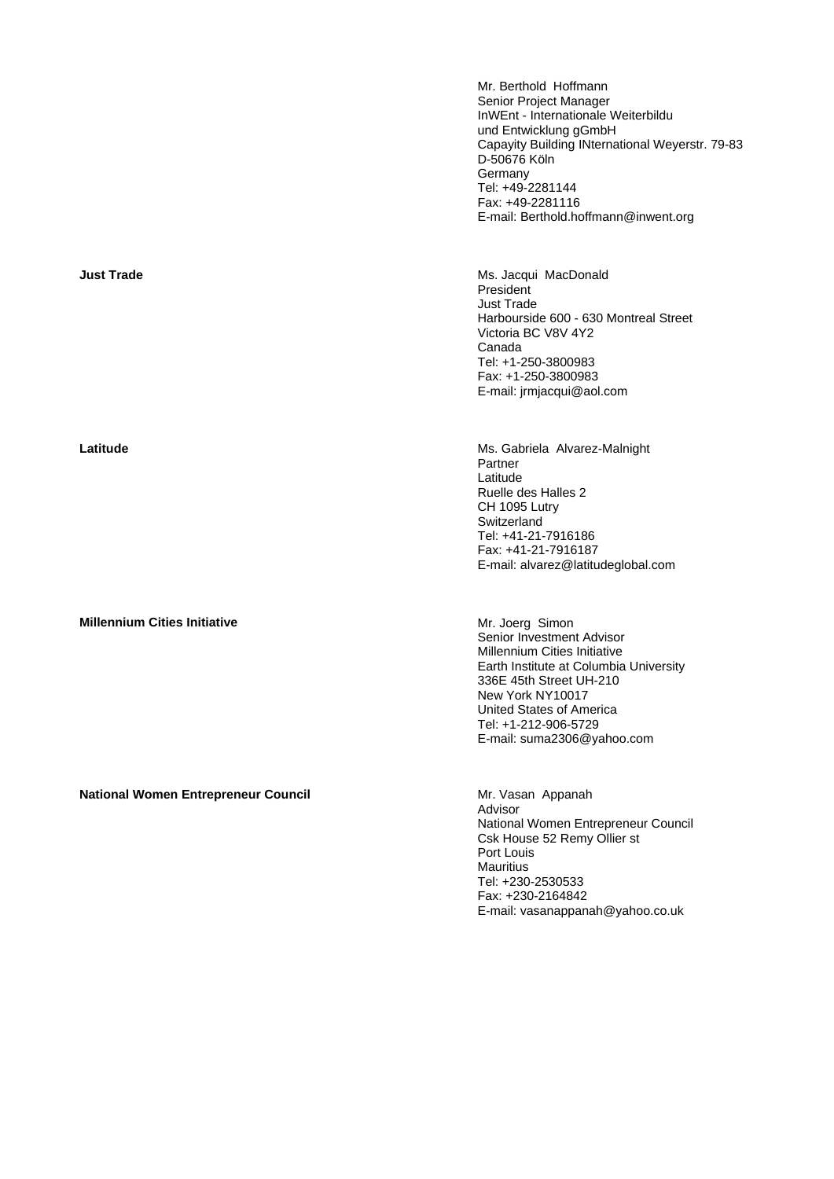Mr. Berthold Hoffmann Senior Project Manager InWEnt - Internationale Weiterbildu und Entwicklung gGmbH Capayity Building INternational Weyerstr. 79-83 D-50676 Köln Germany Tel: +49-2281144 Fax: +49-2281116 E-mail: Berthold.hoffmann@inwent.org

**Just Trade MacDonald Ms. Jacqui MacDonald** President Just Trade Harbourside 600 - 630 Montreal Street Victoria BC V8V 4Y2 Canada Tel: +1-250-3800983 Fax: +1-250-3800983 E-mail: jrmjacqui@aol.com

**Latitude** Ms. Gabriela Alvarez-Malnight Partner Latitude Ruelle des Halles 2 CH 1095 Lutry **Switzerland** Tel: +41-21-7916186 Fax: +41-21-7916187 E-mail: alvarez@latitudeglobal.com

> Senior Investment Advisor Millennium Cities Initiative Earth Institute at Columbia University 336E 45th Street UH-210 New York NY10017 United States of America Tel: +1-212-906-5729 E-mail: suma2306@yahoo.com

Advisor National Women Entrepreneur Council Csk House 52 Remy Ollier st Port Louis **Mauritius** Tel: +230-2530533 Fax: +230-2164842 E-mail: vasanappanah@yahoo.co.uk

**Millennium Cities Initiative** Mr. Joerg Simon

National Women Entrepreneur Council **Mational Women Entrepreneur Council** Mr. Vasan Appanah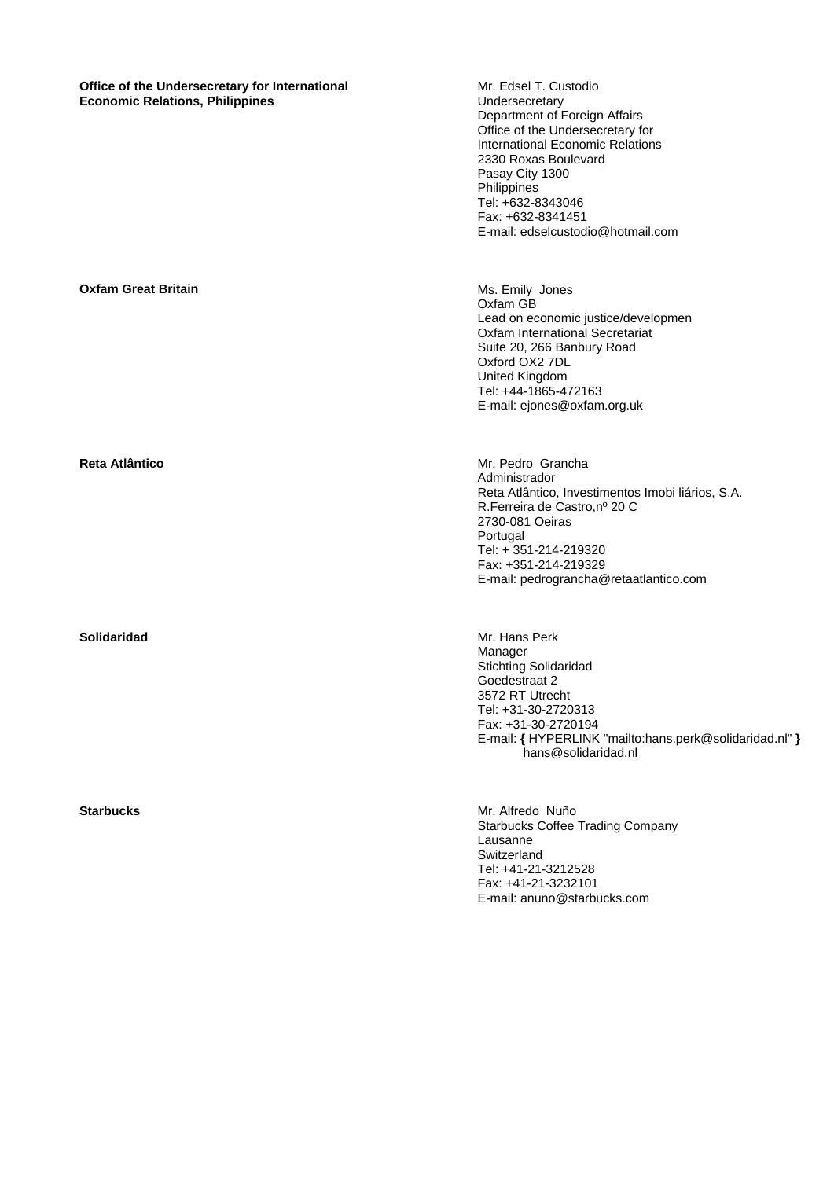| Office of the Undersecretary for International<br><b>Economic Relations, Philippines</b> | Mr. Edsel T. Custodio<br>Undersecretary<br>Department of Foreign Affairs<br>Office of the Undersecretary for<br>International Economic Relations<br>2330 Roxas Boulevard<br>Pasay City 1300<br>Philippines<br>Tel: +632-8343046<br>Fax: +632-8341451<br>E-mail: edselcustodio@hotmail.com |
|------------------------------------------------------------------------------------------|-------------------------------------------------------------------------------------------------------------------------------------------------------------------------------------------------------------------------------------------------------------------------------------------|
| <b>Oxfam Great Britain</b>                                                               | Ms. Emily Jones<br>Oxfam GB<br>Lead on economic justice/developmen<br>Oxfam International Secretariat<br>Suite 20, 266 Banbury Road<br>Oxford OX2 7DL<br>United Kingdom<br>Tel: +44-1865-472163<br>E-mail: ejones@oxfam.org.uk                                                            |
| <b>Reta Atlântico</b>                                                                    | Mr. Pedro Grancha<br>Administrador<br>Reta Atlântico, Investimentos Imobi liários, S.A.<br>R. Ferreira de Castro, nº 20 C<br>2730-081 Oeiras<br>Portugal<br>Tel: + 351-214-219320<br>Fax: +351-214-219329<br>E-mail: pedrograncha@retaatlantico.com                                       |
| <b>Solidaridad</b>                                                                       | Mr. Hans Perk<br>Manager<br><b>Stichting Solidaridad</b><br>Goedestraat 2<br>3572 RT Utrecht<br>Tel: +31-30-2720313<br>Fax: +31-30-2720194<br>E-mail: { HYPERLINK "mailto:hans.perk@solidaridad.nl" }<br>hans@solidaridad.nl                                                              |
| <b>Starbucks</b>                                                                         | Mr. Alfredo Nuño<br><b>Starbucks Coffee Trading Company</b><br>Lausanne<br>Switzerland<br>Tel: +41-21-3212528<br>Fax: +41-21-3232101<br>E-mail: anuno@starbucks.com                                                                                                                       |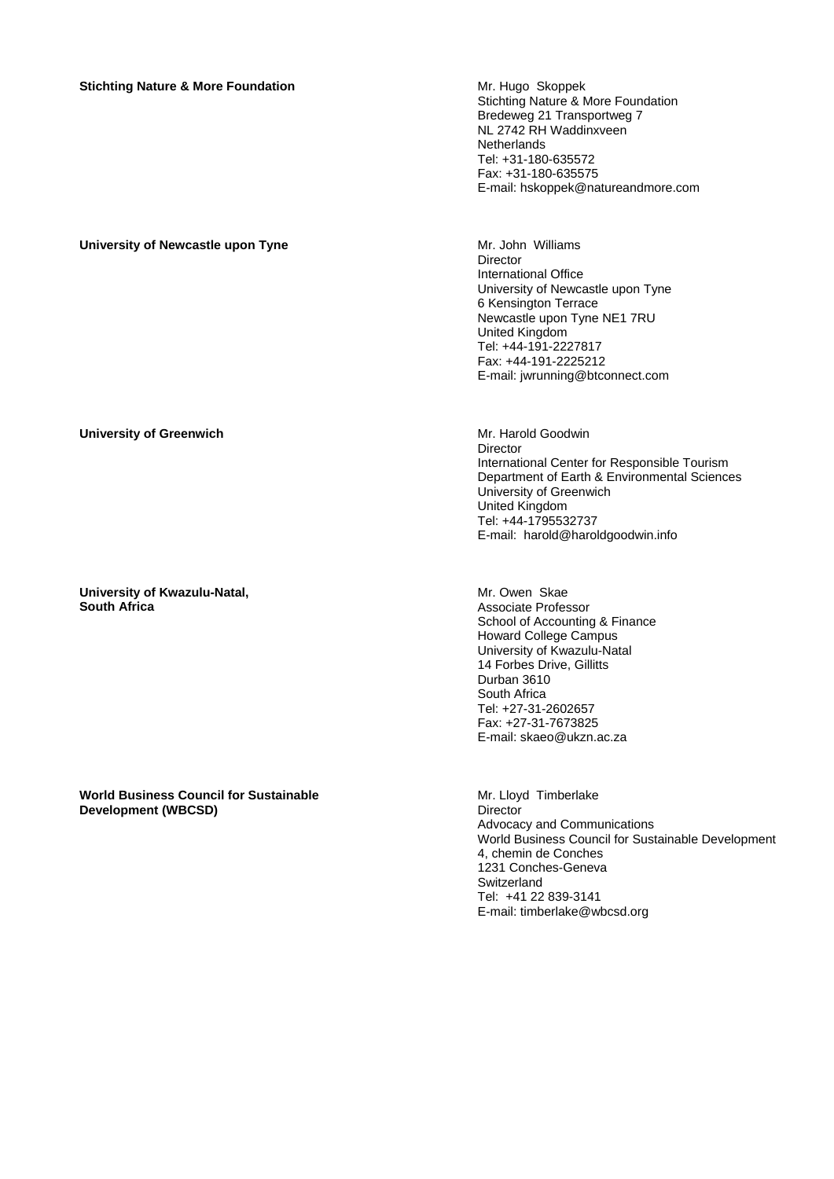# **Stichting Nature & More Foundation Mr. Hugo Skoppek Mr. Hugo Skoppek**

Stichting Nature & More Foundation Bredeweg 21 Transportweg 7 NL 2742 RH Waddinxveen **Netherlands** Tel: +31-180-635572 Fax: +31-180-635575 E-mail: hskoppek@natureandmore.com

# University of Newcastle upon Tyne **Michael State and American** Mr. John Williams

Director International Office University of Newcastle upon Tyne 6 Kensington Terrace Newcastle upon Tyne NE1 7RU United Kingdom Tel: +44-191-2227817 Fax: +44-191-2225212 E-mail: jwrunning@btconnect.com

### **University of Greenwich** Mr. Harold Goodwin

**University of Kwazulu-Natal, South Africa** 

**World Business Council for Sustainable Development (WBCSD)** 

Director International Center for Responsible Tourism Department of Earth & Environmental Sciences University of Greenwich United Kingdom Tel: +44-1795532737 E-mail: harold@haroldgoodwin.info

Mr. Owen Skae Associate Professor School of Accounting & Finance Howard College Campus University of Kwazulu-Natal 14 Forbes Drive, Gillitts Durban 3610 South Africa Tel: +27-31-2602657 Fax: +27-31-7673825 E-mail: skaeo@ukzn.ac.za

Mr. Lloyd Timberlake **Director** Advocacy and Communications World Business Council for Sustainable Development 4, chemin de Conches 1231 Conches-Geneva Switzerland Tel: +41 22 839-3141 E-mail: timberlake@wbcsd.org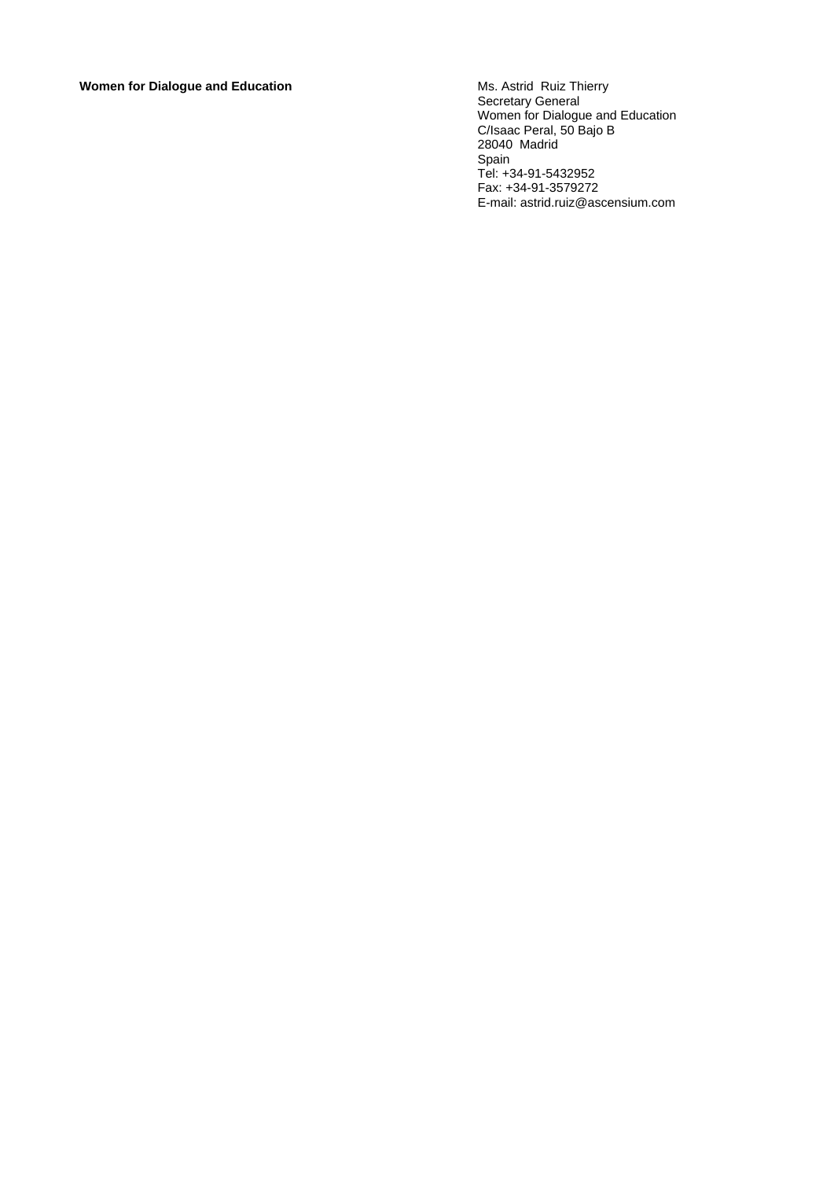# **Women for Dialogue and Education**

Secretary General Women for Dialogue and Education C/Isaac Peral, 50 Bajo B 28040 Madrid Spain Tel: +34-91-5432952 Fax: +34-91-3579272 E-mail: astrid.ruiz@ascensium.com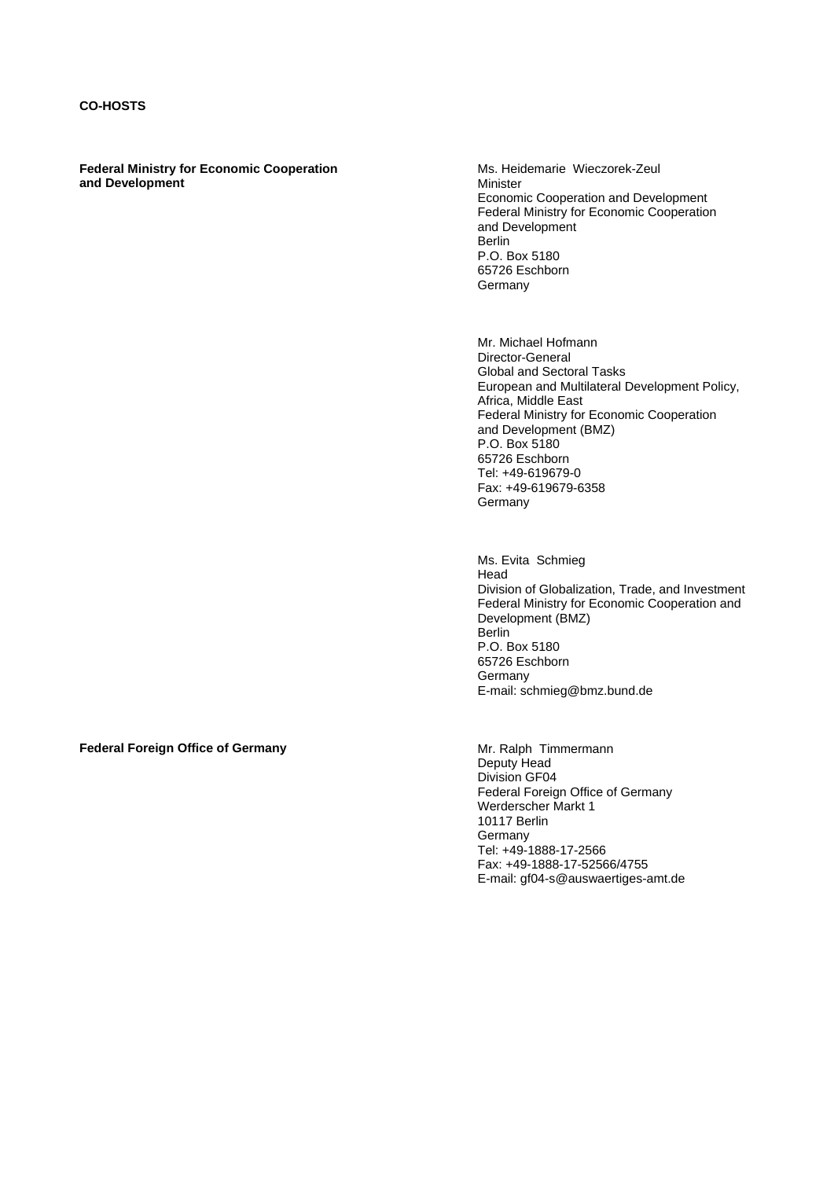**Federal Ministry for Economic Cooperation and Development** 

Ms. Heidemarie Wieczorek-Zeul Minister Economic Cooperation and Development Federal Ministry for Economic Cooperation and Development Berlin P.O. Box 5180 65726 Eschborn Germany

 Mr. Michael Hofmann Director-General Global and Sectoral Tasks European and Multilateral Development Policy, Africa, Middle East Federal Ministry for Economic Cooperation and Development (BMZ) P.O. Box 5180 65726 Eschborn Tel: +49-619679-0 Fax: +49-619679-6358 **Germany** 

 Ms. Evita Schmieg Head Division of Globalization, Trade, and Investment Federal Ministry for Economic Cooperation and Development (BMZ) Berlin P.O. Box 5180 65726 Eschborn Germany E-mail: schmieg@bmz.bund.de

**Federal Foreign Office of Germany <b>Accord Property** Christ Mr. Ralph Timmermann

Deputy Head Division GF04 Federal Foreign Office of Germany Werderscher Markt 1 10117 Berlin Germany Tel: +49-1888-17-2566 Fax: +49-1888-17-52566/4755 E-mail: gf04-s@auswaertiges-amt.de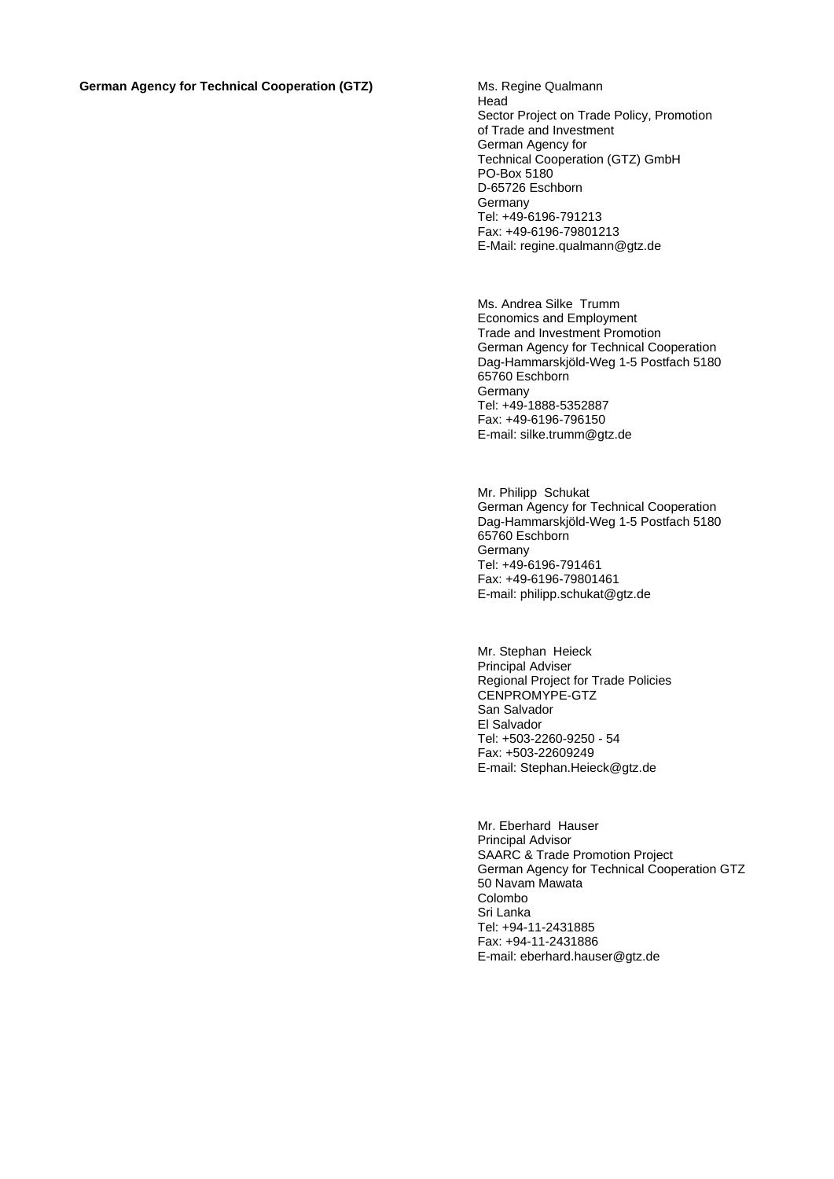Head Sector Project on Trade Policy, Promotion of Trade and Investment German Agency for Technical Cooperation (GTZ) GmbH PO-Box 5180 D-65726 Eschborn **Germany** Tel: +49-6196-791213 Fax: +49-6196-79801213 E-Mail: regine.qualmann@gtz.de

Ms. Andrea Silke Trumm Economics and Employment Trade and Investment Promotion German Agency for Technical Cooperation Dag-Hammarskjöld-Weg 1-5 Postfach 5180 65760 Eschborn Germany Tel: +49-1888-5352887 Fax: +49-6196-796150 E-mail: silke.trumm@gtz.de

Mr. Philipp Schukat German Agency for Technical Cooperation Dag-Hammarskjöld-Weg 1-5 Postfach 5180 65760 Eschborn Germany Tel: +49-6196-791461 Fax: +49-6196-79801461 E-mail: philipp.schukat@gtz.de

Mr. Stephan Heieck Principal Adviser Regional Project for Trade Policies CENPROMYPE-GTZ San Salvador El Salvador Tel: +503-2260-9250 - 54 Fax: +503-22609249 E-mail: Stephan.Heieck@gtz.de

Mr. Eberhard Hauser Principal Advisor SAARC & Trade Promotion Project German Agency for Technical Cooperation GTZ 50 Navam Mawata Colombo Sri Lanka Tel: +94-11-2431885 Fax: +94-11-2431886 E-mail: eberhard.hauser@gtz.de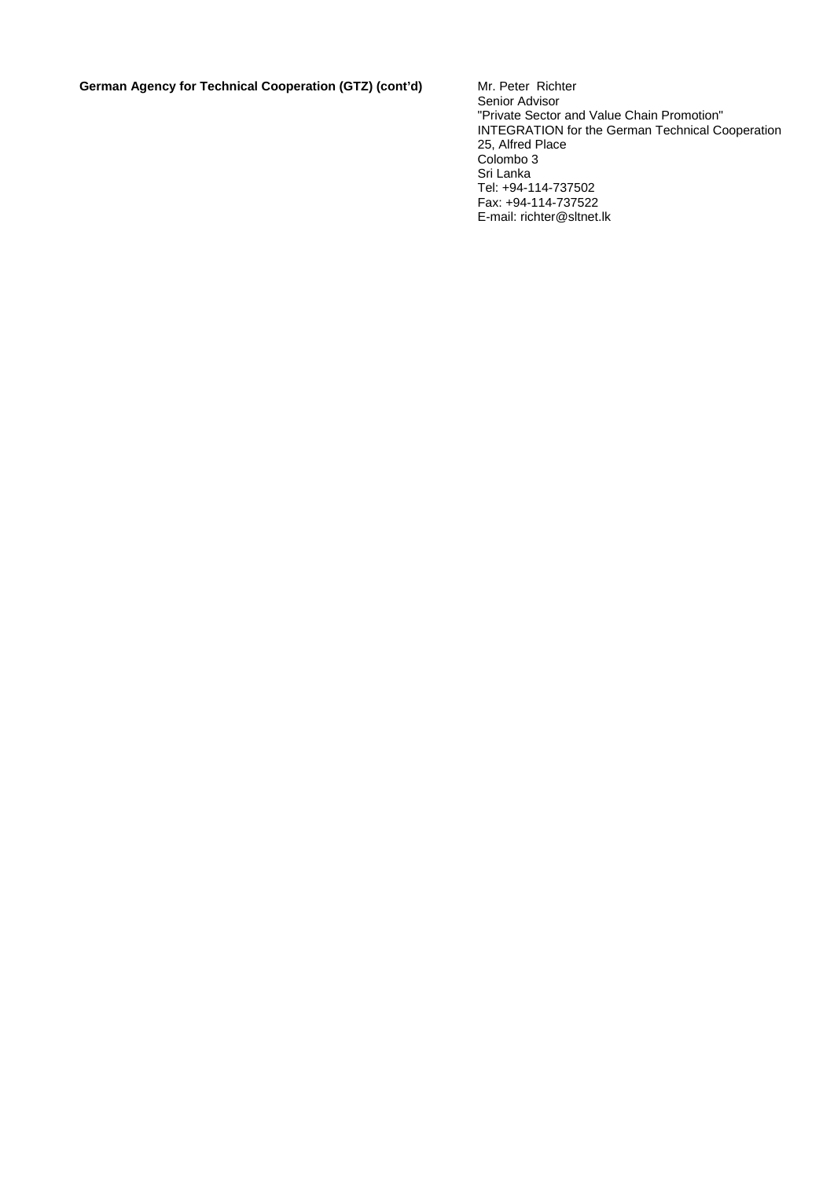German Agency for Technical Cooperation (GTZ) (cont'd) Mr. Peter Richter

Senior Advisor "Private Sector and Value Chain Promotion" INTEGRATION for the German Technical Cooperation 25, Alfred Place Colombo 3 Sri Lanka Tel: +94-114-737502 Fax: +94-114-737522 E-mail: richter@sltnet.lk